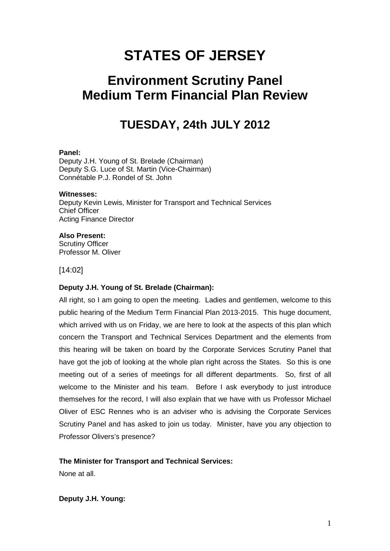# **STATES OF JERSEY**

# **Environment Scrutiny Panel Medium Term Financial Plan Review**

# **TUESDAY, 24th JULY 2012**

#### **Panel:**

Deputy J.H. Young of St. Brelade (Chairman) Deputy S.G. Luce of St. Martin (Vice-Chairman) Connétable P.J. Rondel of St. John

#### **Witnesses:**

Deputy Kevin Lewis, Minister for Transport and Technical Services Chief Officer Acting Finance Director

#### **Also Present:**

Scrutiny Officer Professor M. Oliver

[14:02]

## **Deputy J.H. Young of St. Brelade (Chairman):**

All right, so I am going to open the meeting. Ladies and gentlemen, welcome to this public hearing of the Medium Term Financial Plan 2013-2015. This huge document, which arrived with us on Friday, we are here to look at the aspects of this plan which concern the Transport and Technical Services Department and the elements from this hearing will be taken on board by the Corporate Services Scrutiny Panel that have got the job of looking at the whole plan right across the States. So this is one meeting out of a series of meetings for all different departments. So, first of all welcome to the Minister and his team. Before I ask everybody to just introduce themselves for the record, I will also explain that we have with us Professor Michael Oliver of ESC Rennes who is an adviser who is advising the Corporate Services Scrutiny Panel and has asked to join us today. Minister, have you any objection to Professor Olivers's presence?

## **The Minister for Transport and Technical Services:**

None at all.

**Deputy J.H. Young:**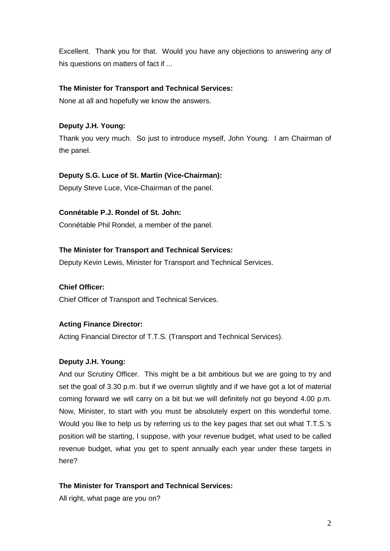Excellent. Thank you for that. Would you have any objections to answering any of his questions on matters of fact if ...

# **The Minister for Transport and Technical Services:**

None at all and hopefully we know the answers.

# **Deputy J.H. Young:**

Thank you very much. So just to introduce myself, John Young. I am Chairman of the panel.

## **Deputy S.G. Luce of St. Martin (Vice-Chairman):**

Deputy Steve Luce, Vice-Chairman of the panel.

# **Connétable P.J. Rondel of St. John:**

Connétable Phil Rondel, a member of the panel.

# **The Minister for Transport and Technical Services:**

Deputy Kevin Lewis, Minister for Transport and Technical Services.

## **Chief Officer:**

Chief Officer of Transport and Technical Services.

## **Acting Finance Director:**

Acting Financial Director of T.T.S. (Transport and Technical Services).

## **Deputy J.H. Young:**

And our Scrutiny Officer. This might be a bit ambitious but we are going to try and set the goal of 3.30 p.m. but if we overrun slightly and if we have got a lot of material coming forward we will carry on a bit but we will definitely not go beyond 4.00 p.m. Now, Minister, to start with you must be absolutely expert on this wonderful tome. Would you like to help us by referring us to the key pages that set out what T.T.S.'s position will be starting, I suppose, with your revenue budget, what used to be called revenue budget, what you get to spent annually each year under these targets in here?

## **The Minister for Transport and Technical Services:**

All right, what page are you on?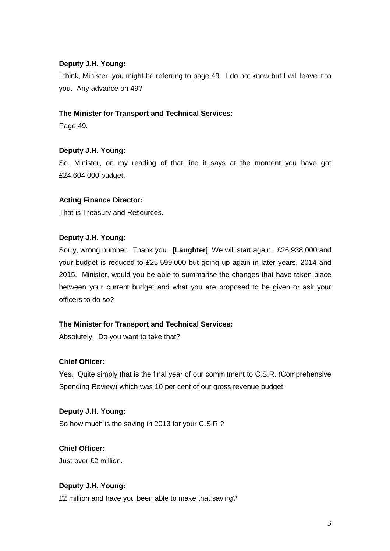# **Deputy J.H. Young:**

I think, Minister, you might be referring to page 49. I do not know but I will leave it to you. Any advance on 49?

# **The Minister for Transport and Technical Services:**

Page 49.

# **Deputy J.H. Young:**

So, Minister, on my reading of that line it says at the moment you have got £24,604,000 budget.

# **Acting Finance Director:**

That is Treasury and Resources.

## **Deputy J.H. Young:**

Sorry, wrong number. Thank you. [**Laughter**] We will start again. £26,938,000 and your budget is reduced to £25,599,000 but going up again in later years, 2014 and 2015. Minister, would you be able to summarise the changes that have taken place between your current budget and what you are proposed to be given or ask your officers to do so?

## **The Minister for Transport and Technical Services:**

Absolutely. Do you want to take that?

## **Chief Officer:**

Yes. Quite simply that is the final year of our commitment to C.S.R. (Comprehensive Spending Review) which was 10 per cent of our gross revenue budget.

## **Deputy J.H. Young:**

So how much is the saving in 2013 for your C.S.R.?

# **Chief Officer:**

Just over £2 million.

## **Deputy J.H. Young:**

£2 million and have you been able to make that saving?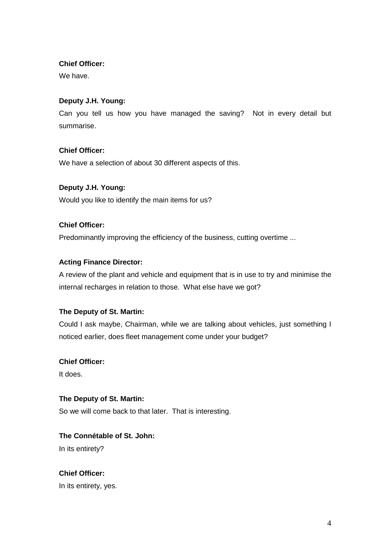# **Chief Officer:**

We have.

# **Deputy J.H. Young:**

Can you tell us how you have managed the saving? Not in every detail but summarise.

# **Chief Officer:**

We have a selection of about 30 different aspects of this.

# **Deputy J.H. Young:**

Would you like to identify the main items for us?

# **Chief Officer:**

Predominantly improving the efficiency of the business, cutting overtime ...

# **Acting Finance Director:**

A review of the plant and vehicle and equipment that is in use to try and minimise the internal recharges in relation to those. What else have we got?

## **The Deputy of St. Martin:**

Could I ask maybe, Chairman, while we are talking about vehicles, just something I noticed earlier, does fleet management come under your budget?

## **Chief Officer:**

It does.

# **The Deputy of St. Martin:**

So we will come back to that later. That is interesting.

# **The Connétable of St. John:**

In its entirety?

**Chief Officer:** In its entirety, yes.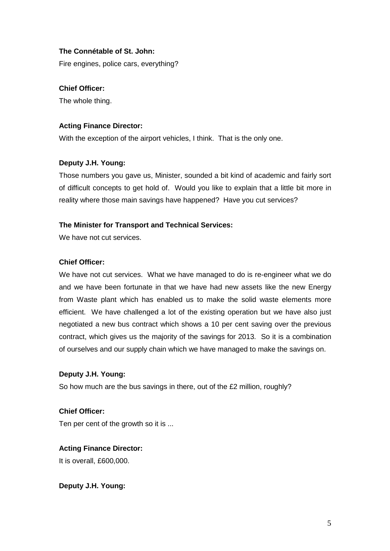## **The Connétable of St. John:**

Fire engines, police cars, everything?

# **Chief Officer:**

The whole thing.

## **Acting Finance Director:**

With the exception of the airport vehicles, I think. That is the only one.

## **Deputy J.H. Young:**

Those numbers you gave us, Minister, sounded a bit kind of academic and fairly sort of difficult concepts to get hold of. Would you like to explain that a little bit more in reality where those main savings have happened? Have you cut services?

## **The Minister for Transport and Technical Services:**

We have not cut services.

### **Chief Officer:**

We have not cut services. What we have managed to do is re-engineer what we do and we have been fortunate in that we have had new assets like the new Energy from Waste plant which has enabled us to make the solid waste elements more efficient. We have challenged a lot of the existing operation but we have also just negotiated a new bus contract which shows a 10 per cent saving over the previous contract, which gives us the majority of the savings for 2013. So it is a combination of ourselves and our supply chain which we have managed to make the savings on.

## **Deputy J.H. Young:**

So how much are the bus savings in there, out of the £2 million, roughly?

**Chief Officer:**

Ten per cent of the growth so it is ...

# **Acting Finance Director:**

It is overall, £600,000.

**Deputy J.H. Young:**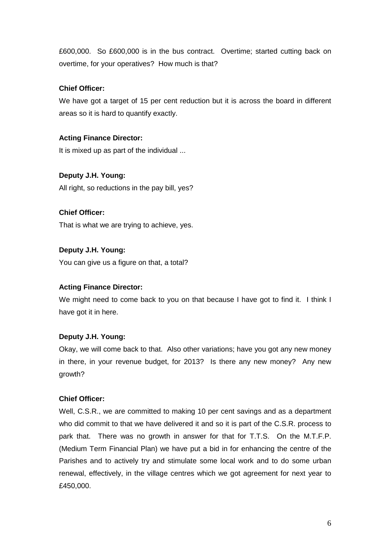£600,000. So £600,000 is in the bus contract. Overtime; started cutting back on overtime, for your operatives? How much is that?

# **Chief Officer:**

We have got a target of 15 per cent reduction but it is across the board in different areas so it is hard to quantify exactly.

# **Acting Finance Director:**

It is mixed up as part of the individual ...

# **Deputy J.H. Young:**

All right, so reductions in the pay bill, yes?

## **Chief Officer:**

That is what we are trying to achieve, yes.

# **Deputy J.H. Young:**

You can give us a figure on that, a total?

## **Acting Finance Director:**

We might need to come back to you on that because I have got to find it. I think I have got it in here.

## **Deputy J.H. Young:**

Okay, we will come back to that. Also other variations; have you got any new money in there, in your revenue budget, for 2013? Is there any new money? Any new growth?

## **Chief Officer:**

Well, C.S.R., we are committed to making 10 per cent savings and as a department who did commit to that we have delivered it and so it is part of the C.S.R. process to park that. There was no growth in answer for that for T.T.S. On the M.T.F.P. (Medium Term Financial Plan) we have put a bid in for enhancing the centre of the Parishes and to actively try and stimulate some local work and to do some urban renewal, effectively, in the village centres which we got agreement for next year to £450,000.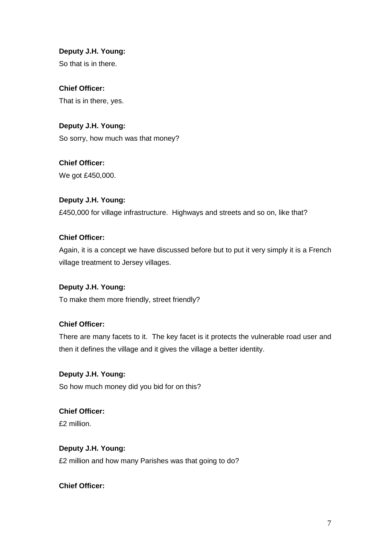**Deputy J.H. Young:** So that is in there.

**Chief Officer:** That is in there, yes.

**Deputy J.H. Young:** So sorry, how much was that money?

**Chief Officer:** We got £450,000.

**Deputy J.H. Young:** £450,000 for village infrastructure. Highways and streets and so on, like that?

# **Chief Officer:**

Again, it is a concept we have discussed before but to put it very simply it is a French village treatment to Jersey villages.

# **Deputy J.H. Young:**

To make them more friendly, street friendly?

# **Chief Officer:**

There are many facets to it. The key facet is it protects the vulnerable road user and then it defines the village and it gives the village a better identity.

## **Deputy J.H. Young:**

So how much money did you bid for on this?

# **Chief Officer:**

£2 million.

# **Deputy J.H. Young:**

£2 million and how many Parishes was that going to do?

**Chief Officer:**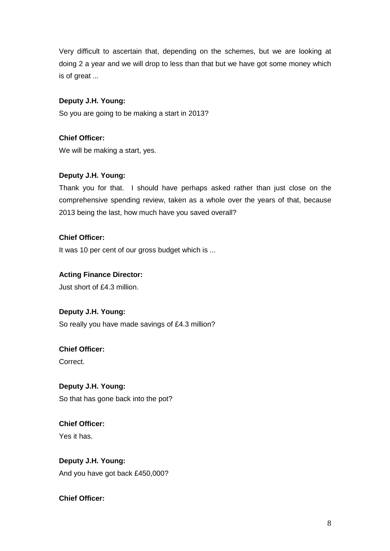Very difficult to ascertain that, depending on the schemes, but we are looking at doing 2 a year and we will drop to less than that but we have got some money which is of great ...

# **Deputy J.H. Young:**

So you are going to be making a start in 2013?

# **Chief Officer:**

We will be making a start, yes.

# **Deputy J.H. Young:**

Thank you for that. I should have perhaps asked rather than just close on the comprehensive spending review, taken as a whole over the years of that, because 2013 being the last, how much have you saved overall?

# **Chief Officer:**

It was 10 per cent of our gross budget which is ...

# **Acting Finance Director:**

Just short of £4.3 million.

# **Deputy J.H. Young:**

So really you have made savings of £4.3 million?

# **Chief Officer:**

Correct.

# **Deputy J.H. Young:**

So that has gone back into the pot?

# **Chief Officer:** Yes it has.

# **Deputy J.H. Young:**

And you have got back £450,000?

# **Chief Officer:**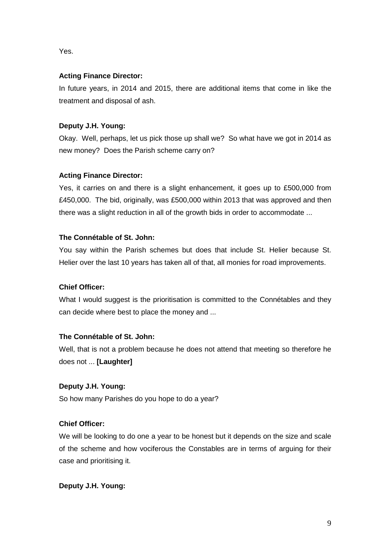Yes.

# **Acting Finance Director:**

In future years, in 2014 and 2015, there are additional items that come in like the treatment and disposal of ash.

# **Deputy J.H. Young:**

Okay. Well, perhaps, let us pick those up shall we? So what have we got in 2014 as new money? Does the Parish scheme carry on?

# **Acting Finance Director:**

Yes, it carries on and there is a slight enhancement, it goes up to £500,000 from £450,000. The bid, originally, was £500,000 within 2013 that was approved and then there was a slight reduction in all of the growth bids in order to accommodate ...

# **The Connétable of St. John:**

You say within the Parish schemes but does that include St. Helier because St. Helier over the last 10 years has taken all of that, all monies for road improvements.

## **Chief Officer:**

What I would suggest is the prioritisation is committed to the Connétables and they can decide where best to place the money and ...

# **The Connétable of St. John:**

Well, that is not a problem because he does not attend that meeting so therefore he does not ... **[Laughter]** 

# **Deputy J.H. Young:**

So how many Parishes do you hope to do a year?

# **Chief Officer:**

We will be looking to do one a year to be honest but it depends on the size and scale of the scheme and how vociferous the Constables are in terms of arguing for their case and prioritising it.

## **Deputy J.H. Young:**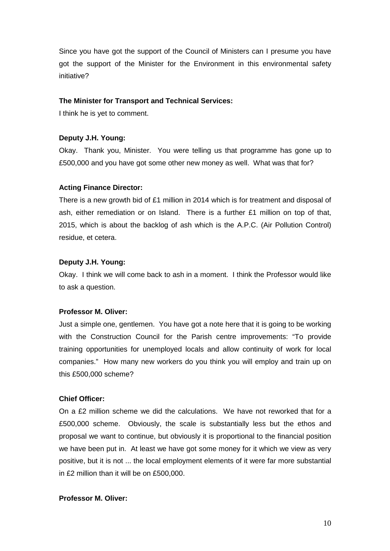Since you have got the support of the Council of Ministers can I presume you have got the support of the Minister for the Environment in this environmental safety initiative?

### **The Minister for Transport and Technical Services:**

I think he is yet to comment.

### **Deputy J.H. Young:**

Okay. Thank you, Minister. You were telling us that programme has gone up to £500,000 and you have got some other new money as well. What was that for?

## **Acting Finance Director:**

There is a new growth bid of £1 million in 2014 which is for treatment and disposal of ash, either remediation or on Island. There is a further £1 million on top of that, 2015, which is about the backlog of ash which is the A.P.C. (Air Pollution Control) residue, et cetera.

### **Deputy J.H. Young:**

Okay. I think we will come back to ash in a moment. I think the Professor would like to ask a question.

### **Professor M. Oliver:**

Just a simple one, gentlemen. You have got a note here that it is going to be working with the Construction Council for the Parish centre improvements: "To provide training opportunities for unemployed locals and allow continuity of work for local companies." How many new workers do you think you will employ and train up on this £500,000 scheme?

#### **Chief Officer:**

On a £2 million scheme we did the calculations. We have not reworked that for a £500,000 scheme. Obviously, the scale is substantially less but the ethos and proposal we want to continue, but obviously it is proportional to the financial position we have been put in. At least we have got some money for it which we view as very positive, but it is not ... the local employment elements of it were far more substantial in £2 million than it will be on £500,000.

### **Professor M. Oliver:**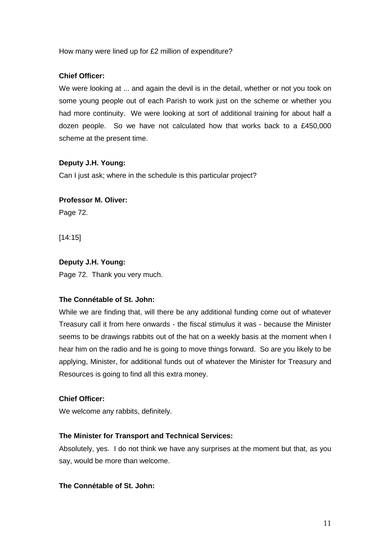How many were lined up for £2 million of expenditure?

# **Chief Officer:**

We were looking at ... and again the devil is in the detail, whether or not you took on some young people out of each Parish to work just on the scheme or whether you had more continuity. We were looking at sort of additional training for about half a dozen people. So we have not calculated how that works back to a £450,000 scheme at the present time.

## **Deputy J.H. Young:**

Can I just ask; where in the schedule is this particular project?

## **Professor M. Oliver:**

Page 72.

[14:15]

# **Deputy J.H. Young:**

Page 72. Thank you very much.

## **The Connétable of St. John:**

While we are finding that, will there be any additional funding come out of whatever Treasury call it from here onwards - the fiscal stimulus it was - because the Minister seems to be drawings rabbits out of the hat on a weekly basis at the moment when I hear him on the radio and he is going to move things forward. So are you likely to be applying, Minister, for additional funds out of whatever the Minister for Treasury and Resources is going to find all this extra money.

# **Chief Officer:**

We welcome any rabbits, definitely.

## **The Minister for Transport and Technical Services:**

Absolutely, yes. I do not think we have any surprises at the moment but that, as you say, would be more than welcome.

## **The Connétable of St. John:**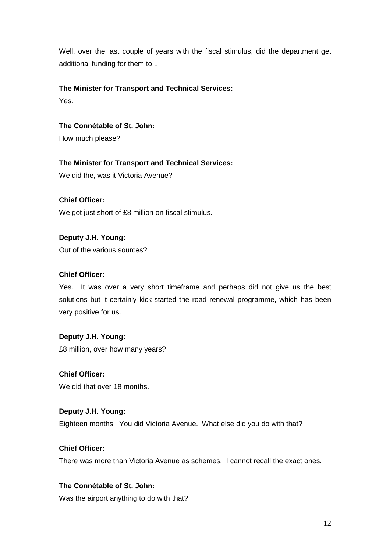Well, over the last couple of years with the fiscal stimulus, did the department get additional funding for them to ...

# **The Minister for Transport and Technical Services:**

Yes.

**The Connétable of St. John:**

How much please?

**The Minister for Transport and Technical Services:** We did the, was it Victoria Avenue?

**Chief Officer:** We got just short of £8 million on fiscal stimulus.

**Deputy J.H. Young:** Out of the various sources?

# **Chief Officer:**

Yes. It was over a very short timeframe and perhaps did not give us the best solutions but it certainly kick-started the road renewal programme, which has been very positive for us.

# **Deputy J.H. Young:**

£8 million, over how many years?

We did that over 18 months.

# **Deputy J.H. Young:**

Eighteen months. You did Victoria Avenue. What else did you do with that?

# **Chief Officer:**

**Chief Officer:**

There was more than Victoria Avenue as schemes. I cannot recall the exact ones.

# **The Connétable of St. John:**

Was the airport anything to do with that?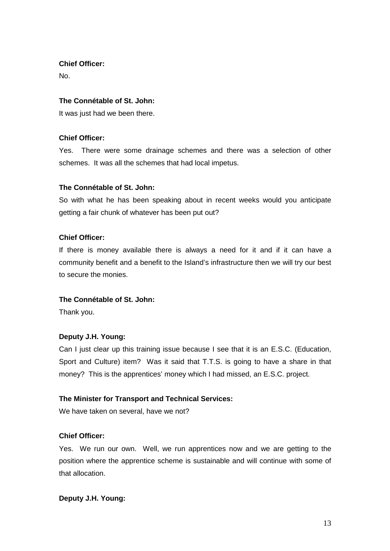**Chief Officer:**

No.

# **The Connétable of St. John:**

It was just had we been there.

# **Chief Officer:**

Yes. There were some drainage schemes and there was a selection of other schemes. It was all the schemes that had local impetus.

# **The Connétable of St. John:**

So with what he has been speaking about in recent weeks would you anticipate getting a fair chunk of whatever has been put out?

# **Chief Officer:**

If there is money available there is always a need for it and if it can have a community benefit and a benefit to the Island's infrastructure then we will try our best to secure the monies.

## **The Connétable of St. John:**

Thank you.

# **Deputy J.H. Young:**

Can I just clear up this training issue because I see that it is an E.S.C. (Education, Sport and Culture) item? Was it said that T.T.S. is going to have a share in that money? This is the apprentices' money which I had missed, an E.S.C. project.

# **The Minister for Transport and Technical Services:**

We have taken on several, have we not?

## **Chief Officer:**

Yes. We run our own. Well, we run apprentices now and we are getting to the position where the apprentice scheme is sustainable and will continue with some of that allocation.

# **Deputy J.H. Young:**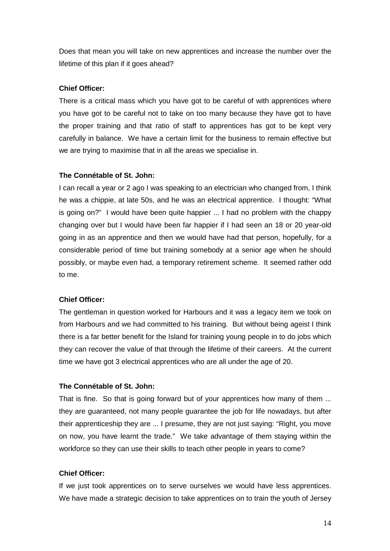Does that mean you will take on new apprentices and increase the number over the lifetime of this plan if it goes ahead?

#### **Chief Officer:**

There is a critical mass which you have got to be careful of with apprentices where you have got to be careful not to take on too many because they have got to have the proper training and that ratio of staff to apprentices has got to be kept very carefully in balance. We have a certain limit for the business to remain effective but we are trying to maximise that in all the areas we specialise in.

### **The Connétable of St. John:**

I can recall a year or 2 ago I was speaking to an electrician who changed from, I think he was a chippie, at late 50s, and he was an electrical apprentice. I thought: "What is going on?" I would have been quite happier ... I had no problem with the chappy changing over but I would have been far happier if I had seen an 18 or 20 year-old going in as an apprentice and then we would have had that person, hopefully, for a considerable period of time but training somebody at a senior age when he should possibly, or maybe even had, a temporary retirement scheme. It seemed rather odd to me.

#### **Chief Officer:**

The gentleman in question worked for Harbours and it was a legacy item we took on from Harbours and we had committed to his training. But without being ageist I think there is a far better benefit for the Island for training young people in to do jobs which they can recover the value of that through the lifetime of their careers. At the current time we have got 3 electrical apprentices who are all under the age of 20.

### **The Connétable of St. John:**

That is fine. So that is going forward but of your apprentices how many of them ... they are guaranteed, not many people guarantee the job for life nowadays, but after their apprenticeship they are ... I presume, they are not just saying: "Right, you move on now, you have learnt the trade." We take advantage of them staying within the workforce so they can use their skills to teach other people in years to come?

### **Chief Officer:**

If we just took apprentices on to serve ourselves we would have less apprentices. We have made a strategic decision to take apprentices on to train the youth of Jersey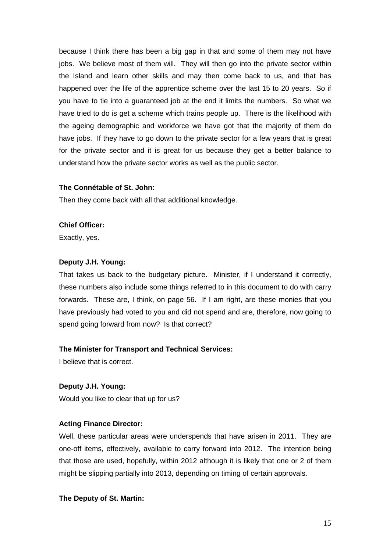because I think there has been a big gap in that and some of them may not have jobs. We believe most of them will. They will then go into the private sector within the Island and learn other skills and may then come back to us, and that has happened over the life of the apprentice scheme over the last 15 to 20 years. So if you have to tie into a guaranteed job at the end it limits the numbers. So what we have tried to do is get a scheme which trains people up. There is the likelihood with the ageing demographic and workforce we have got that the majority of them do have jobs. If they have to go down to the private sector for a few years that is great for the private sector and it is great for us because they get a better balance to understand how the private sector works as well as the public sector.

#### **The Connétable of St. John:**

Then they come back with all that additional knowledge.

#### **Chief Officer:**

Exactly, yes.

### **Deputy J.H. Young:**

That takes us back to the budgetary picture. Minister, if I understand it correctly, these numbers also include some things referred to in this document to do with carry forwards. These are, I think, on page 56. If I am right, are these monies that you have previously had voted to you and did not spend and are, therefore, now going to spend going forward from now? Is that correct?

#### **The Minister for Transport and Technical Services:**

I believe that is correct.

# **Deputy J.H. Young:**

Would you like to clear that up for us?

#### **Acting Finance Director:**

Well, these particular areas were underspends that have arisen in 2011. They are one-off items, effectively, available to carry forward into 2012. The intention being that those are used, hopefully, within 2012 although it is likely that one or 2 of them might be slipping partially into 2013, depending on timing of certain approvals.

#### **The Deputy of St. Martin:**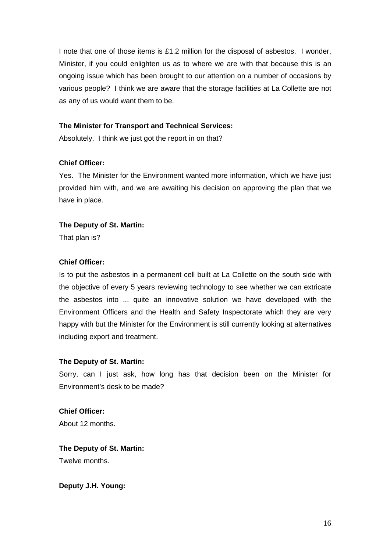I note that one of those items is £1.2 million for the disposal of asbestos. I wonder, Minister, if you could enlighten us as to where we are with that because this is an ongoing issue which has been brought to our attention on a number of occasions by various people? I think we are aware that the storage facilities at La Collette are not as any of us would want them to be.

### **The Minister for Transport and Technical Services:**

Absolutely. I think we just got the report in on that?

## **Chief Officer:**

Yes. The Minister for the Environment wanted more information, which we have just provided him with, and we are awaiting his decision on approving the plan that we have in place.

## **The Deputy of St. Martin:**

That plan is?

### **Chief Officer:**

Is to put the asbestos in a permanent cell built at La Collette on the south side with the objective of every 5 years reviewing technology to see whether we can extricate the asbestos into ... quite an innovative solution we have developed with the Environment Officers and the Health and Safety Inspectorate which they are very happy with but the Minister for the Environment is still currently looking at alternatives including export and treatment.

#### **The Deputy of St. Martin:**

Sorry, can I just ask, how long has that decision been on the Minister for Environment's desk to be made?

**Chief Officer:** About 12 months.

**The Deputy of St. Martin:** Twelve months.

**Deputy J.H. Young:**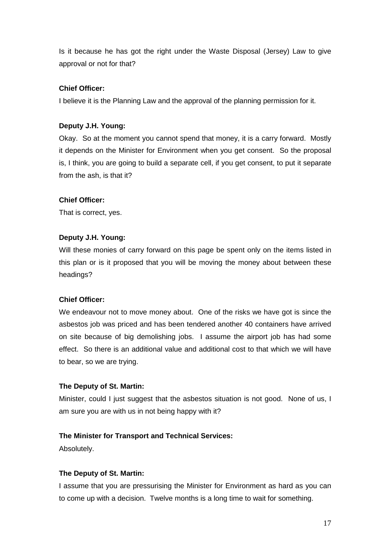Is it because he has got the right under the Waste Disposal (Jersey) Law to give approval or not for that?

### **Chief Officer:**

I believe it is the Planning Law and the approval of the planning permission for it.

# **Deputy J.H. Young:**

Okay. So at the moment you cannot spend that money, it is a carry forward. Mostly it depends on the Minister for Environment when you get consent. So the proposal is, I think, you are going to build a separate cell, if you get consent, to put it separate from the ash, is that it?

#### **Chief Officer:**

That is correct, yes.

### **Deputy J.H. Young:**

Will these monies of carry forward on this page be spent only on the items listed in this plan or is it proposed that you will be moving the money about between these headings?

## **Chief Officer:**

We endeavour not to move money about. One of the risks we have got is since the asbestos job was priced and has been tendered another 40 containers have arrived on site because of big demolishing jobs. I assume the airport job has had some effect. So there is an additional value and additional cost to that which we will have to bear, so we are trying.

#### **The Deputy of St. Martin:**

Minister, could I just suggest that the asbestos situation is not good. None of us, I am sure you are with us in not being happy with it?

#### **The Minister for Transport and Technical Services:**

Absolutely.

#### **The Deputy of St. Martin:**

I assume that you are pressurising the Minister for Environment as hard as you can to come up with a decision. Twelve months is a long time to wait for something.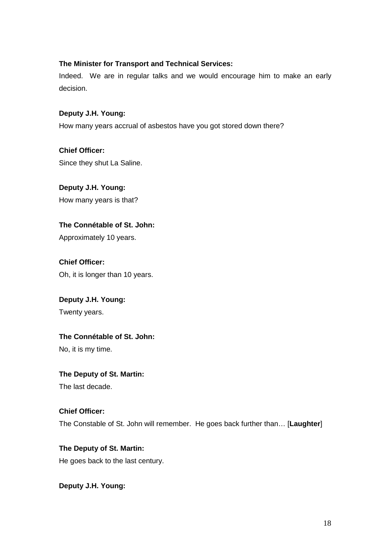# **The Minister for Transport and Technical Services:**

Indeed. We are in regular talks and we would encourage him to make an early decision.

# **Deputy J.H. Young:**

How many years accrual of asbestos have you got stored down there?

**Chief Officer:** Since they shut La Saline.

**Deputy J.H. Young:** How many years is that?

**The Connétable of St. John:** Approximately 10 years.

**Chief Officer:** Oh, it is longer than 10 years.

**Deputy J.H. Young:**  Twenty years.

# **The Connétable of St. John:**

No, it is my time.

## **The Deputy of St. Martin:**

The last decade.

# **Chief Officer:** The Constable of St. John will remember. He goes back further than… [**Laughter**]

**The Deputy of St. Martin:**  He goes back to the last century.

**Deputy J.H. Young:**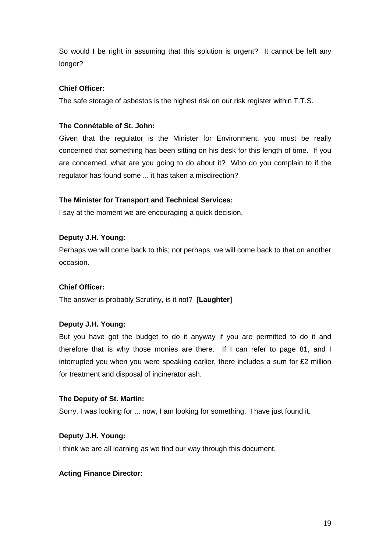So would I be right in assuming that this solution is urgent? It cannot be left any longer?

# **Chief Officer:**

The safe storage of asbestos is the highest risk on our risk register within T.T.S.

# **The Connétable of St. John:**

Given that the regulator is the Minister for Environment, you must be really concerned that something has been sitting on his desk for this length of time. If you are concerned, what are you going to do about it? Who do you complain to if the regulator has found some ... it has taken a misdirection?

# **The Minister for Transport and Technical Services:**

I say at the moment we are encouraging a quick decision.

# **Deputy J.H. Young:**

Perhaps we will come back to this; not perhaps, we will come back to that on another occasion.

## **Chief Officer:**

The answer is probably Scrutiny, is it not? **[Laughter]**

## **Deputy J.H. Young:**

But you have got the budget to do it anyway if you are permitted to do it and therefore that is why those monies are there. If I can refer to page 81, and I interrupted you when you were speaking earlier, there includes a sum for £2 million for treatment and disposal of incinerator ash.

## **The Deputy of St. Martin:**

Sorry, I was looking for ... now, I am looking for something. I have just found it.

## **Deputy J.H. Young:**

I think we are all learning as we find our way through this document.

## **Acting Finance Director:**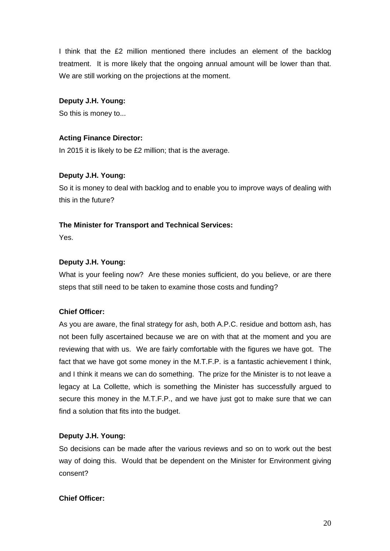I think that the £2 million mentioned there includes an element of the backlog treatment. It is more likely that the ongoing annual amount will be lower than that. We are still working on the projections at the moment.

# **Deputy J.H. Young:**

So this is money to...

# **Acting Finance Director:**

In 2015 it is likely to be £2 million; that is the average.

# **Deputy J.H. Young:**

So it is money to deal with backlog and to enable you to improve ways of dealing with this in the future?

# **The Minister for Transport and Technical Services:**

Yes.

# **Deputy J.H. Young:**

What is your feeling now? Are these monies sufficient, do you believe, or are there steps that still need to be taken to examine those costs and funding?

## **Chief Officer:**

As you are aware, the final strategy for ash, both A.P.C. residue and bottom ash, has not been fully ascertained because we are on with that at the moment and you are reviewing that with us. We are fairly comfortable with the figures we have got. The fact that we have got some money in the M.T.F.P. is a fantastic achievement I think, and I think it means we can do something. The prize for the Minister is to not leave a legacy at La Collette, which is something the Minister has successfully argued to secure this money in the M.T.F.P., and we have just got to make sure that we can find a solution that fits into the budget.

# **Deputy J.H. Young:**

So decisions can be made after the various reviews and so on to work out the best way of doing this. Would that be dependent on the Minister for Environment giving consent?

## **Chief Officer:**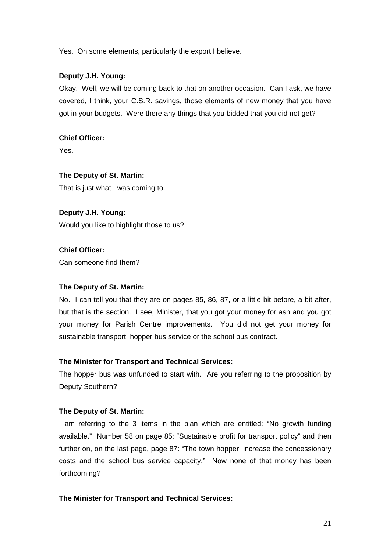Yes. On some elements, particularly the export I believe.

### **Deputy J.H. Young:**

Okay. Well, we will be coming back to that on another occasion. Can I ask, we have covered, I think, your C.S.R. savings, those elements of new money that you have got in your budgets. Were there any things that you bidded that you did not get?

# **Chief Officer:**

Yes.

# **The Deputy of St. Martin:**

That is just what I was coming to.

# **Deputy J.H. Young:**

Would you like to highlight those to us?

# **Chief Officer:**

Can someone find them?

## **The Deputy of St. Martin:**

No. I can tell you that they are on pages 85, 86, 87, or a little bit before, a bit after, but that is the section. I see, Minister, that you got your money for ash and you got your money for Parish Centre improvements. You did not get your money for sustainable transport, hopper bus service or the school bus contract.

## **The Minister for Transport and Technical Services:**

The hopper bus was unfunded to start with. Are you referring to the proposition by Deputy Southern?

## **The Deputy of St. Martin:**

I am referring to the 3 items in the plan which are entitled: "No growth funding available." Number 58 on page 85: "Sustainable profit for transport policy" and then further on, on the last page, page 87: "The town hopper, increase the concessionary costs and the school bus service capacity." Now none of that money has been forthcoming?

## **The Minister for Transport and Technical Services:**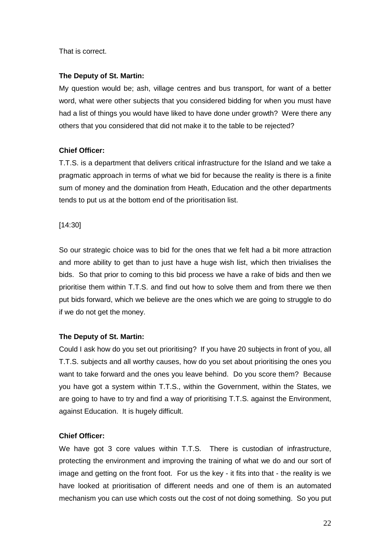That is correct.

### **The Deputy of St. Martin:**

My question would be; ash, village centres and bus transport, for want of a better word, what were other subjects that you considered bidding for when you must have had a list of things you would have liked to have done under growth? Were there any others that you considered that did not make it to the table to be rejected?

## **Chief Officer:**

T.T.S. is a department that delivers critical infrastructure for the Island and we take a pragmatic approach in terms of what we bid for because the reality is there is a finite sum of money and the domination from Heath, Education and the other departments tends to put us at the bottom end of the prioritisation list.

### [14:30]

So our strategic choice was to bid for the ones that we felt had a bit more attraction and more ability to get than to just have a huge wish list, which then trivialises the bids. So that prior to coming to this bid process we have a rake of bids and then we prioritise them within T.T.S. and find out how to solve them and from there we then put bids forward, which we believe are the ones which we are going to struggle to do if we do not get the money.

## **The Deputy of St. Martin:**

Could I ask how do you set out prioritising? If you have 20 subjects in front of you, all T.T.S. subjects and all worthy causes, how do you set about prioritising the ones you want to take forward and the ones you leave behind. Do you score them? Because you have got a system within T.T.S., within the Government, within the States, we are going to have to try and find a way of prioritising T.T.S. against the Environment, against Education. It is hugely difficult.

## **Chief Officer:**

We have got 3 core values within T.T.S. There is custodian of infrastructure, protecting the environment and improving the training of what we do and our sort of image and getting on the front foot. For us the key - it fits into that - the reality is we have looked at prioritisation of different needs and one of them is an automated mechanism you can use which costs out the cost of not doing something. So you put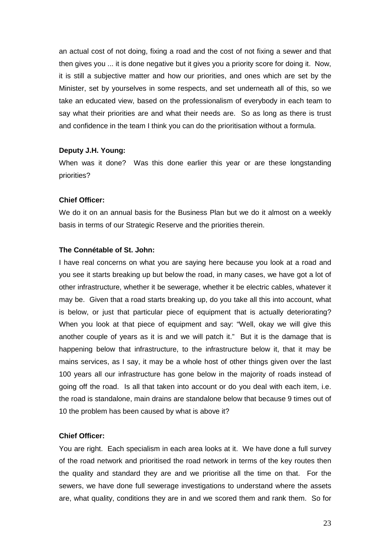an actual cost of not doing, fixing a road and the cost of not fixing a sewer and that then gives you ... it is done negative but it gives you a priority score for doing it. Now, it is still a subjective matter and how our priorities, and ones which are set by the Minister, set by yourselves in some respects, and set underneath all of this, so we take an educated view, based on the professionalism of everybody in each team to say what their priorities are and what their needs are. So as long as there is trust and confidence in the team I think you can do the prioritisation without a formula.

#### **Deputy J.H. Young:**

When was it done? Was this done earlier this year or are these longstanding priorities?

#### **Chief Officer:**

We do it on an annual basis for the Business Plan but we do it almost on a weekly basis in terms of our Strategic Reserve and the priorities therein.

#### **The Connétable of St. John:**

I have real concerns on what you are saying here because you look at a road and you see it starts breaking up but below the road, in many cases, we have got a lot of other infrastructure, whether it be sewerage, whether it be electric cables, whatever it may be. Given that a road starts breaking up, do you take all this into account, what is below, or just that particular piece of equipment that is actually deteriorating? When you look at that piece of equipment and say: "Well, okay we will give this another couple of years as it is and we will patch it." But it is the damage that is happening below that infrastructure, to the infrastructure below it, that it may be mains services, as I say, it may be a whole host of other things given over the last 100 years all our infrastructure has gone below in the majority of roads instead of going off the road. Is all that taken into account or do you deal with each item, i.e. the road is standalone, main drains are standalone below that because 9 times out of 10 the problem has been caused by what is above it?

#### **Chief Officer:**

You are right. Each specialism in each area looks at it. We have done a full survey of the road network and prioritised the road network in terms of the key routes then the quality and standard they are and we prioritise all the time on that. For the sewers, we have done full sewerage investigations to understand where the assets are, what quality, conditions they are in and we scored them and rank them. So for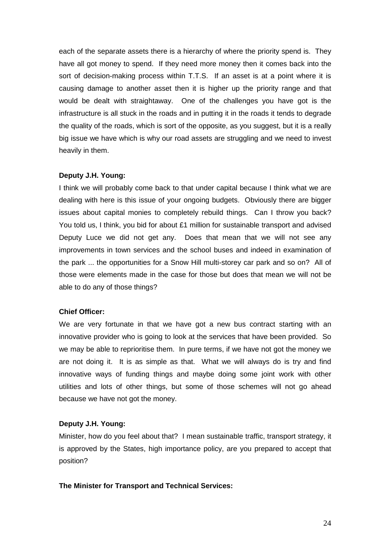each of the separate assets there is a hierarchy of where the priority spend is. They have all got money to spend. If they need more money then it comes back into the sort of decision-making process within T.T.S. If an asset is at a point where it is causing damage to another asset then it is higher up the priority range and that would be dealt with straightaway. One of the challenges you have got is the infrastructure is all stuck in the roads and in putting it in the roads it tends to degrade the quality of the roads, which is sort of the opposite, as you suggest, but it is a really big issue we have which is why our road assets are struggling and we need to invest heavily in them.

### **Deputy J.H. Young:**

I think we will probably come back to that under capital because I think what we are dealing with here is this issue of your ongoing budgets. Obviously there are bigger issues about capital monies to completely rebuild things. Can I throw you back? You told us, I think, you bid for about £1 million for sustainable transport and advised Deputy Luce we did not get any. Does that mean that we will not see any improvements in town services and the school buses and indeed in examination of the park ... the opportunities for a Snow Hill multi-storey car park and so on? All of those were elements made in the case for those but does that mean we will not be able to do any of those things?

### **Chief Officer:**

We are very fortunate in that we have got a new bus contract starting with an innovative provider who is going to look at the services that have been provided. So we may be able to reprioritise them. In pure terms, if we have not got the money we are not doing it. It is as simple as that. What we will always do is try and find innovative ways of funding things and maybe doing some joint work with other utilities and lots of other things, but some of those schemes will not go ahead because we have not got the money.

## **Deputy J.H. Young:**

Minister, how do you feel about that? I mean sustainable traffic, transport strategy, it is approved by the States, high importance policy, are you prepared to accept that position?

#### **The Minister for Transport and Technical Services:**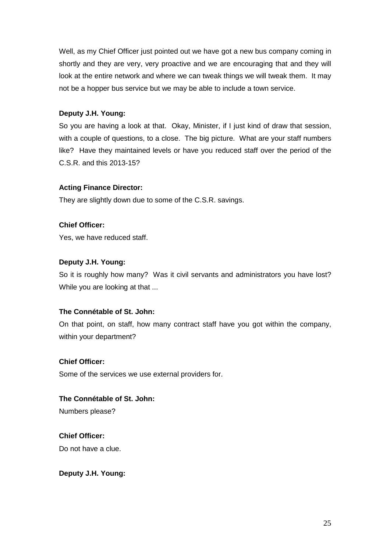Well, as my Chief Officer just pointed out we have got a new bus company coming in shortly and they are very, very proactive and we are encouraging that and they will look at the entire network and where we can tweak things we will tweak them. It may not be a hopper bus service but we may be able to include a town service.

# **Deputy J.H. Young:**

So you are having a look at that. Okay, Minister, if I just kind of draw that session, with a couple of questions, to a close. The big picture. What are your staff numbers like? Have they maintained levels or have you reduced staff over the period of the C.S.R. and this 2013-15?

# **Acting Finance Director:**

They are slightly down due to some of the C.S.R. savings.

**Chief Officer:**

Yes, we have reduced staff.

# **Deputy J.H. Young:**

So it is roughly how many? Was it civil servants and administrators you have lost? While you are looking at that ...

# **The Connétable of St. John:**

On that point, on staff, how many contract staff have you got within the company, within your department?

# **Chief Officer:**

Some of the services we use external providers for.

**The Connétable of St. John:** Numbers please?

**Chief Officer:** Do not have a clue.

**Deputy J.H. Young:**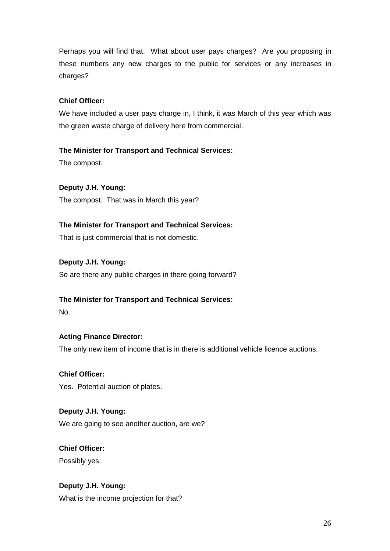Perhaps you will find that. What about user pays charges? Are you proposing in these numbers any new charges to the public for services or any increases in charges?

# **Chief Officer:**

We have included a user pays charge in, I think, it was March of this year which was the green waste charge of delivery here from commercial.

# **The Minister for Transport and Technical Services:**

The compost.

# **Deputy J.H. Young:**

The compost. That was in March this year?

# **The Minister for Transport and Technical Services:**

That is just commercial that is not domestic.

# **Deputy J.H. Young:**

So are there any public charges in there going forward?

# **The Minister for Transport and Technical Services:**

No.

# **Acting Finance Director:**

The only new item of income that is in there is additional vehicle licence auctions.

# **Chief Officer:**

Yes. Potential auction of plates.

# **Deputy J.H. Young:**

We are going to see another auction, are we?

# **Chief Officer:**

Possibly yes.

# **Deputy J.H. Young:**

What is the income projection for that?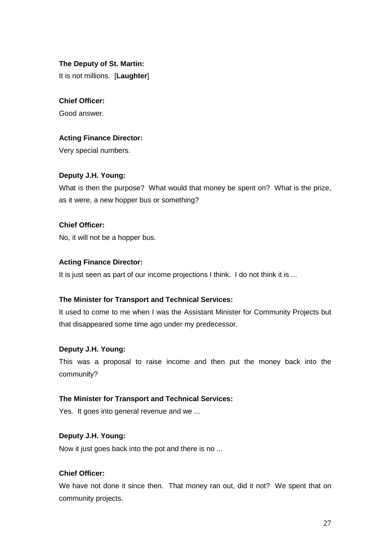## **The Deputy of St. Martin:**

It is not millions. [**Laughter**]

# **Chief Officer:**

Good answer.

# **Acting Finance Director:**

Very special numbers.

# **Deputy J.H. Young:**

What is then the purpose? What would that money be spent on? What is the prize, as it were, a new hopper bus or something?

# **Chief Officer:**

No, it will not be a hopper bus.

# **Acting Finance Director:**

It is just seen as part of our income projections I think. I do not think it is ...

# **The Minister for Transport and Technical Services:**

It used to come to me when I was the Assistant Minister for Community Projects but that disappeared some time ago under my predecessor.

# **Deputy J.H. Young:**

This was a proposal to raise income and then put the money back into the community?

# **The Minister for Transport and Technical Services:**

Yes. It goes into general revenue and we ...

# **Deputy J.H. Young:**

Now it just goes back into the pot and there is no ...

# **Chief Officer:**

We have not done it since then. That money ran out, did it not? We spent that on community projects.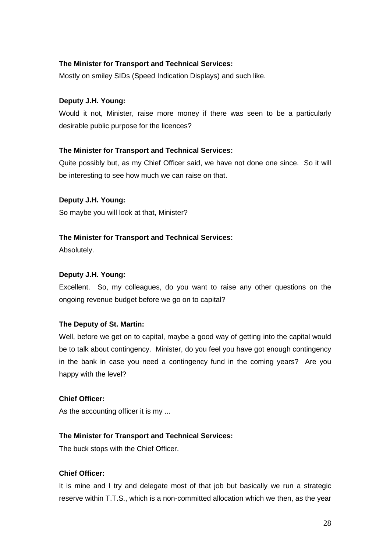# **The Minister for Transport and Technical Services:**

Mostly on smiley SIDs (Speed Indication Displays) and such like.

## **Deputy J.H. Young:**

Would it not, Minister, raise more money if there was seen to be a particularly desirable public purpose for the licences?

### **The Minister for Transport and Technical Services:**

Quite possibly but, as my Chief Officer said, we have not done one since. So it will be interesting to see how much we can raise on that.

### **Deputy J.H. Young:**

So maybe you will look at that, Minister?

### **The Minister for Transport and Technical Services:**

Absolutely.

#### **Deputy J.H. Young:**

Excellent. So, my colleagues, do you want to raise any other questions on the ongoing revenue budget before we go on to capital?

#### **The Deputy of St. Martin:**

Well, before we get on to capital, maybe a good way of getting into the capital would be to talk about contingency. Minister, do you feel you have got enough contingency in the bank in case you need a contingency fund in the coming years? Are you happy with the level?

#### **Chief Officer:**

As the accounting officer it is my ...

#### **The Minister for Transport and Technical Services:**

The buck stops with the Chief Officer.

# **Chief Officer:**

It is mine and I try and delegate most of that job but basically we run a strategic reserve within T.T.S., which is a non-committed allocation which we then, as the year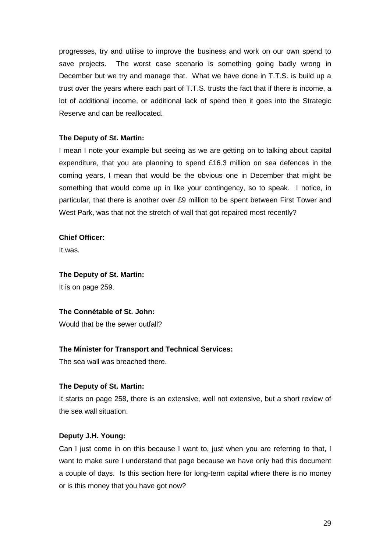progresses, try and utilise to improve the business and work on our own spend to save projects. The worst case scenario is something going badly wrong in December but we try and manage that. What we have done in T.T.S. is build up a trust over the years where each part of T.T.S. trusts the fact that if there is income, a lot of additional income, or additional lack of spend then it goes into the Strategic Reserve and can be reallocated.

## **The Deputy of St. Martin:**

I mean I note your example but seeing as we are getting on to talking about capital expenditure, that you are planning to spend £16.3 million on sea defences in the coming years, I mean that would be the obvious one in December that might be something that would come up in like your contingency, so to speak. I notice, in particular, that there is another over £9 million to be spent between First Tower and West Park, was that not the stretch of wall that got repaired most recently?

#### **Chief Officer:**

It was.

## **The Deputy of St. Martin:**

It is on page 259.

### **The Connétable of St. John:**

Would that be the sewer outfall?

## **The Minister for Transport and Technical Services:**

The sea wall was breached there.

## **The Deputy of St. Martin:**

It starts on page 258, there is an extensive, well not extensive, but a short review of the sea wall situation.

## **Deputy J.H. Young:**

Can I just come in on this because I want to, just when you are referring to that, I want to make sure I understand that page because we have only had this document a couple of days. Is this section here for long-term capital where there is no money or is this money that you have got now?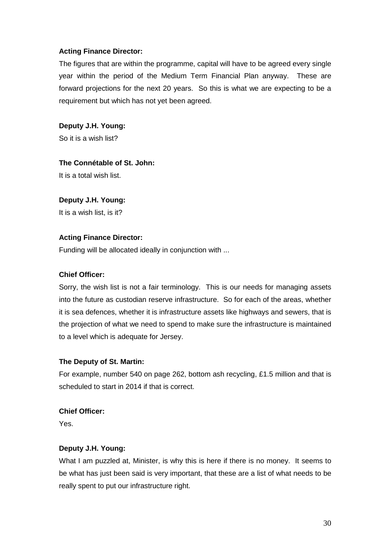# **Acting Finance Director:**

The figures that are within the programme, capital will have to be agreed every single year within the period of the Medium Term Financial Plan anyway. These are forward projections for the next 20 years. So this is what we are expecting to be a requirement but which has not yet been agreed.

**Deputy J.H. Young:** So it is a wish list?

# **The Connétable of St. John:**

It is a total wish list.

## **Deputy J.H. Young:**

It is a wish list, is it?

## **Acting Finance Director:**

Funding will be allocated ideally in conjunction with ...

### **Chief Officer:**

Sorry, the wish list is not a fair terminology. This is our needs for managing assets into the future as custodian reserve infrastructure. So for each of the areas, whether it is sea defences, whether it is infrastructure assets like highways and sewers, that is the projection of what we need to spend to make sure the infrastructure is maintained to a level which is adequate for Jersey.

## **The Deputy of St. Martin:**

For example, number 540 on page 262, bottom ash recycling, £1.5 million and that is scheduled to start in 2014 if that is correct.

## **Chief Officer:**

Yes.

## **Deputy J.H. Young:**

What I am puzzled at, Minister, is why this is here if there is no money. It seems to be what has just been said is very important, that these are a list of what needs to be really spent to put our infrastructure right.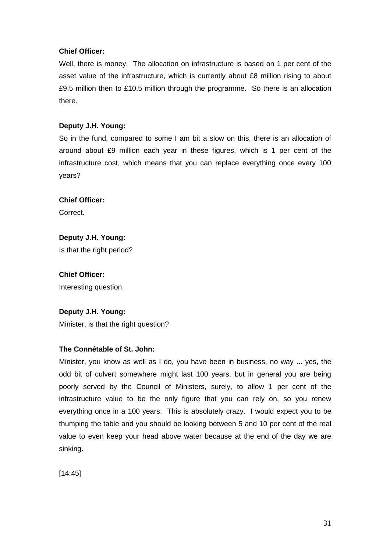# **Chief Officer:**

Well, there is money. The allocation on infrastructure is based on 1 per cent of the asset value of the infrastructure, which is currently about £8 million rising to about £9.5 million then to £10.5 million through the programme. So there is an allocation there.

# **Deputy J.H. Young:**

So in the fund, compared to some I am bit a slow on this, there is an allocation of around about £9 million each year in these figures, which is 1 per cent of the infrastructure cost, which means that you can replace everything once every 100 years?

# **Chief Officer:**

Correct.

# **Deputy J.H. Young:** Is that the right period?

# **Chief Officer:** Interesting question.

# **Deputy J.H. Young:**

Minister, is that the right question?

## **The Connétable of St. John:**

Minister, you know as well as I do, you have been in business, no way ... yes, the odd bit of culvert somewhere might last 100 years, but in general you are being poorly served by the Council of Ministers, surely, to allow 1 per cent of the infrastructure value to be the only figure that you can rely on, so you renew everything once in a 100 years. This is absolutely crazy. I would expect you to be thumping the table and you should be looking between 5 and 10 per cent of the real value to even keep your head above water because at the end of the day we are sinking.

[14:45]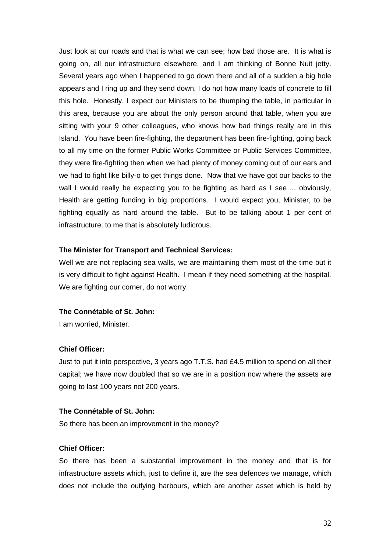Just look at our roads and that is what we can see; how bad those are. It is what is going on, all our infrastructure elsewhere, and I am thinking of Bonne Nuit jetty. Several years ago when I happened to go down there and all of a sudden a big hole appears and I ring up and they send down, I do not how many loads of concrete to fill this hole. Honestly, I expect our Ministers to be thumping the table, in particular in this area, because you are about the only person around that table, when you are sitting with your 9 other colleagues, who knows how bad things really are in this Island. You have been fire-fighting, the department has been fire-fighting, going back to all my time on the former Public Works Committee or Public Services Committee, they were fire-fighting then when we had plenty of money coming out of our ears and we had to fight like billy-o to get things done. Now that we have got our backs to the wall I would really be expecting you to be fighting as hard as I see ... obviously, Health are getting funding in big proportions. I would expect you, Minister, to be fighting equally as hard around the table. But to be talking about 1 per cent of infrastructure, to me that is absolutely ludicrous.

### **The Minister for Transport and Technical Services:**

Well we are not replacing sea walls, we are maintaining them most of the time but it is very difficult to fight against Health. I mean if they need something at the hospital. We are fighting our corner, do not worry.

#### **The Connétable of St. John:**

I am worried, Minister.

#### **Chief Officer:**

Just to put it into perspective, 3 years ago T.T.S. had £4.5 million to spend on all their capital; we have now doubled that so we are in a position now where the assets are going to last 100 years not 200 years.

#### **The Connétable of St. John:**

So there has been an improvement in the money?

#### **Chief Officer:**

So there has been a substantial improvement in the money and that is for infrastructure assets which, just to define it, are the sea defences we manage, which does not include the outlying harbours, which are another asset which is held by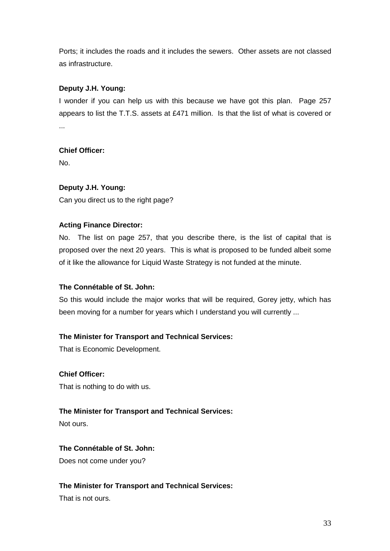Ports; it includes the roads and it includes the sewers. Other assets are not classed as infrastructure.

# **Deputy J.H. Young:**

I wonder if you can help us with this because we have got this plan. Page 257 appears to list the T.T.S. assets at £471 million. Is that the list of what is covered or ...

# **Chief Officer:**

No.

# **Deputy J.H. Young:**

Can you direct us to the right page?

# **Acting Finance Director:**

No. The list on page 257, that you describe there, is the list of capital that is proposed over the next 20 years. This is what is proposed to be funded albeit some of it like the allowance for Liquid Waste Strategy is not funded at the minute.

# **The Connétable of St. John:**

So this would include the major works that will be required, Gorey jetty, which has been moving for a number for years which I understand you will currently ...

# **The Minister for Transport and Technical Services:**

That is Economic Development.

# **Chief Officer:**

That is nothing to do with us.

# **The Minister for Transport and Technical Services:**

Not ours.

# **The Connétable of St. John:**

Does not come under you?

# **The Minister for Transport and Technical Services:**

That is not ours.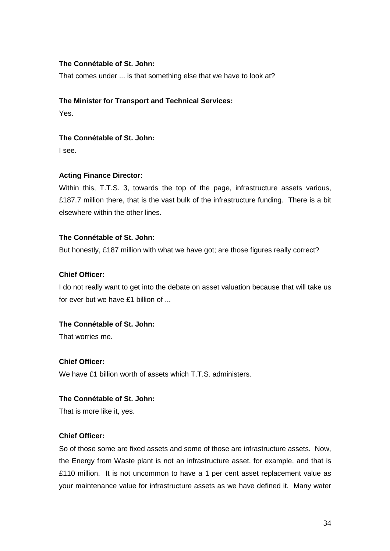## **The Connétable of St. John:**

That comes under ... is that something else that we have to look at?

#### **The Minister for Transport and Technical Services:**

Yes.

# **The Connétable of St. John:**

I see.

## **Acting Finance Director:**

Within this, T.T.S. 3, towards the top of the page, infrastructure assets various, £187.7 million there, that is the vast bulk of the infrastructure funding. There is a bit elsewhere within the other lines.

### **The Connétable of St. John:**

But honestly, £187 million with what we have got; are those figures really correct?

### **Chief Officer:**

I do not really want to get into the debate on asset valuation because that will take us for ever but we have £1 billion of ...

# **The Connétable of St. John:**

That worries me.

### **Chief Officer:**

We have £1 billion worth of assets which T.T.S. administers.

#### **The Connétable of St. John:**

That is more like it, yes.

### **Chief Officer:**

So of those some are fixed assets and some of those are infrastructure assets. Now, the Energy from Waste plant is not an infrastructure asset, for example, and that is £110 million. It is not uncommon to have a 1 per cent asset replacement value as your maintenance value for infrastructure assets as we have defined it. Many water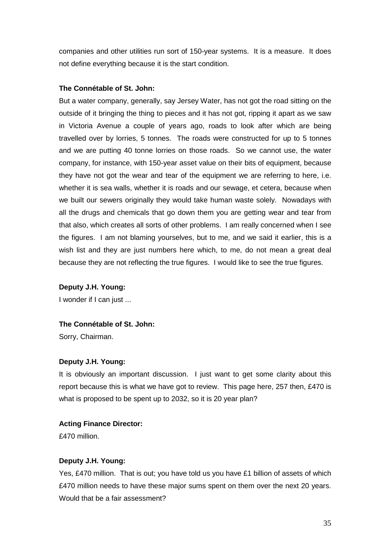companies and other utilities run sort of 150-year systems. It is a measure. It does not define everything because it is the start condition.

### **The Connétable of St. John:**

But a water company, generally, say Jersey Water, has not got the road sitting on the outside of it bringing the thing to pieces and it has not got, ripping it apart as we saw in Victoria Avenue a couple of years ago, roads to look after which are being travelled over by lorries, 5 tonnes. The roads were constructed for up to 5 tonnes and we are putting 40 tonne lorries on those roads. So we cannot use, the water company, for instance, with 150-year asset value on their bits of equipment, because they have not got the wear and tear of the equipment we are referring to here, i.e. whether it is sea walls, whether it is roads and our sewage, et cetera, because when we built our sewers originally they would take human waste solely. Nowadays with all the drugs and chemicals that go down them you are getting wear and tear from that also, which creates all sorts of other problems. I am really concerned when I see the figures. I am not blaming yourselves, but to me, and we said it earlier, this is a wish list and they are just numbers here which, to me, do not mean a great deal because they are not reflecting the true figures. I would like to see the true figures.

**Deputy J.H. Young:**

I wonder if I can just ...

#### **The Connétable of St. John:**

Sorry, Chairman.

#### **Deputy J.H. Young:**

It is obviously an important discussion. I just want to get some clarity about this report because this is what we have got to review. This page here, 257 then, £470 is what is proposed to be spent up to 2032, so it is 20 year plan?

#### **Acting Finance Director:**

£470 million.

### **Deputy J.H. Young:**

Yes, £470 million. That is out; you have told us you have £1 billion of assets of which £470 million needs to have these major sums spent on them over the next 20 years. Would that be a fair assessment?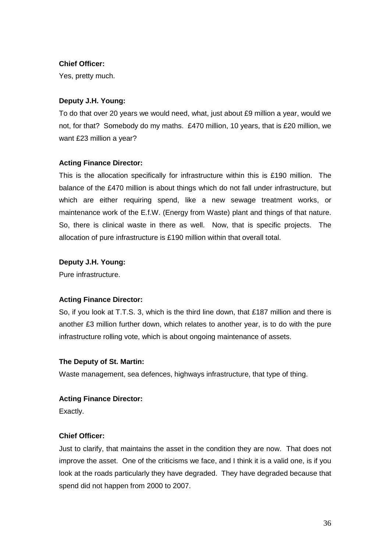### **Chief Officer:**

Yes, pretty much.

## **Deputy J.H. Young:**

To do that over 20 years we would need, what, just about £9 million a year, would we not, for that? Somebody do my maths. £470 million, 10 years, that is £20 million, we want £23 million a year?

## **Acting Finance Director:**

This is the allocation specifically for infrastructure within this is £190 million. The balance of the £470 million is about things which do not fall under infrastructure, but which are either requiring spend, like a new sewage treatment works, or maintenance work of the E.f.W. (Energy from Waste) plant and things of that nature. So, there is clinical waste in there as well. Now, that is specific projects. The allocation of pure infrastructure is £190 million within that overall total.

# **Deputy J.H. Young:**

Pure infrastructure.

## **Acting Finance Director:**

So, if you look at T.T.S. 3, which is the third line down, that £187 million and there is another £3 million further down, which relates to another year, is to do with the pure infrastructure rolling vote, which is about ongoing maintenance of assets.

## **The Deputy of St. Martin:**

Waste management, sea defences, highways infrastructure, that type of thing.

## **Acting Finance Director:**

Exactly.

## **Chief Officer:**

Just to clarify, that maintains the asset in the condition they are now. That does not improve the asset. One of the criticisms we face, and I think it is a valid one, is if you look at the roads particularly they have degraded. They have degraded because that spend did not happen from 2000 to 2007.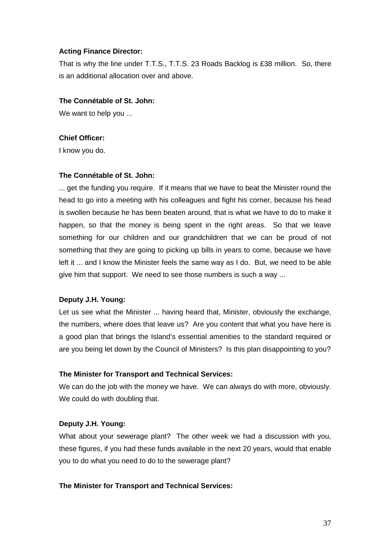### **Acting Finance Director:**

That is why the line under T.T.S., T.T.S. 23 Roads Backlog is £38 million. So, there is an additional allocation over and above.

### **The Connétable of St. John:**

We want to help you ...

### **Chief Officer:**

I know you do.

### **The Connétable of St. John:**

... get the funding you require. If it means that we have to beat the Minister round the head to go into a meeting with his colleagues and fight his corner, because his head is swollen because he has been beaten around, that is what we have to do to make it happen, so that the money is being spent in the right areas. So that we leave something for our children and our grandchildren that we can be proud of not something that they are going to picking up bills in years to come, because we have left it ... and I know the Minister feels the same way as I do. But, we need to be able give him that support. We need to see those numbers is such a way ...

## **Deputy J.H. Young:**

Let us see what the Minister ... having heard that, Minister, obviously the exchange, the numbers, where does that leave us? Are you content that what you have here is a good plan that brings the Island's essential amenities to the standard required or are you being let down by the Council of Ministers? Is this plan disappointing to you?

## **The Minister for Transport and Technical Services:**

We can do the job with the money we have. We can always do with more, obviously. We could do with doubling that.

## **Deputy J.H. Young:**

What about your sewerage plant? The other week we had a discussion with you, these figures, if you had these funds available in the next 20 years, would that enable you to do what you need to do to the sewerage plant?

#### **The Minister for Transport and Technical Services:**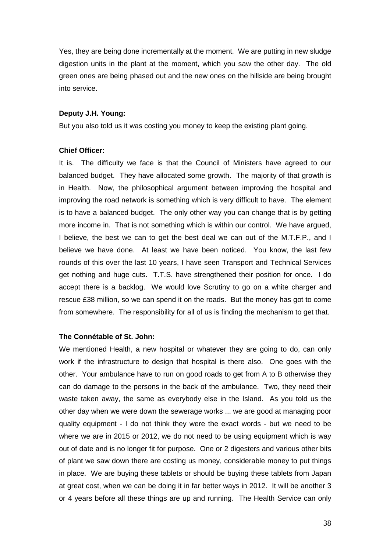Yes, they are being done incrementally at the moment. We are putting in new sludge digestion units in the plant at the moment, which you saw the other day. The old green ones are being phased out and the new ones on the hillside are being brought into service.

#### **Deputy J.H. Young:**

But you also told us it was costing you money to keep the existing plant going.

#### **Chief Officer:**

It is. The difficulty we face is that the Council of Ministers have agreed to our balanced budget. They have allocated some growth. The majority of that growth is in Health. Now, the philosophical argument between improving the hospital and improving the road network is something which is very difficult to have. The element is to have a balanced budget. The only other way you can change that is by getting more income in. That is not something which is within our control. We have argued, I believe, the best we can to get the best deal we can out of the M.T.F.P., and I believe we have done. At least we have been noticed. You know, the last few rounds of this over the last 10 years, I have seen Transport and Technical Services get nothing and huge cuts. T.T.S. have strengthened their position for once. I do accept there is a backlog. We would love Scrutiny to go on a white charger and rescue £38 million, so we can spend it on the roads. But the money has got to come from somewhere. The responsibility for all of us is finding the mechanism to get that.

#### **The Connétable of St. John:**

We mentioned Health, a new hospital or whatever they are going to do, can only work if the infrastructure to design that hospital is there also. One goes with the other. Your ambulance have to run on good roads to get from A to B otherwise they can do damage to the persons in the back of the ambulance. Two, they need their waste taken away, the same as everybody else in the Island. As you told us the other day when we were down the sewerage works ... we are good at managing poor quality equipment - I do not think they were the exact words - but we need to be where we are in 2015 or 2012, we do not need to be using equipment which is way out of date and is no longer fit for purpose. One or 2 digesters and various other bits of plant we saw down there are costing us money, considerable money to put things in place. We are buying these tablets or should be buying these tablets from Japan at great cost, when we can be doing it in far better ways in 2012. It will be another 3 or 4 years before all these things are up and running. The Health Service can only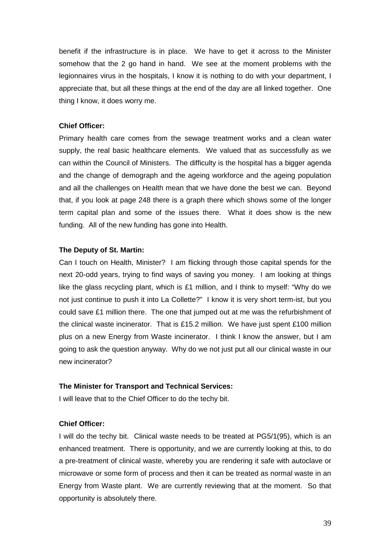benefit if the infrastructure is in place. We have to get it across to the Minister somehow that the 2 go hand in hand. We see at the moment problems with the legionnaires virus in the hospitals, I know it is nothing to do with your department, I appreciate that, but all these things at the end of the day are all linked together. One thing I know, it does worry me.

### **Chief Officer:**

Primary health care comes from the sewage treatment works and a clean water supply, the real basic healthcare elements. We valued that as successfully as we can within the Council of Ministers. The difficulty is the hospital has a bigger agenda and the change of demograph and the ageing workforce and the ageing population and all the challenges on Health mean that we have done the best we can. Beyond that, if you look at page 248 there is a graph there which shows some of the longer term capital plan and some of the issues there. What it does show is the new funding. All of the new funding has gone into Health.

#### **The Deputy of St. Martin:**

Can I touch on Health, Minister? I am flicking through those capital spends for the next 20-odd years, trying to find ways of saving you money. I am looking at things like the glass recycling plant, which is £1 million, and I think to myself: "Why do we not just continue to push it into La Collette?" I know it is very short term-ist, but you could save £1 million there. The one that jumped out at me was the refurbishment of the clinical waste incinerator. That is £15.2 million. We have just spent £100 million plus on a new Energy from Waste incinerator. I think I know the answer, but I am going to ask the question anyway. Why do we not just put all our clinical waste in our new incinerator?

#### **The Minister for Transport and Technical Services:**

I will leave that to the Chief Officer to do the techy bit.

## **Chief Officer:**

I will do the techy bit. Clinical waste needs to be treated at PG5/1(95), which is an enhanced treatment. There is opportunity, and we are currently looking at this, to do a pre-treatment of clinical waste, whereby you are rendering it safe with autoclave or microwave or some form of process and then it can be treated as normal waste in an Energy from Waste plant. We are currently reviewing that at the moment. So that opportunity is absolutely there.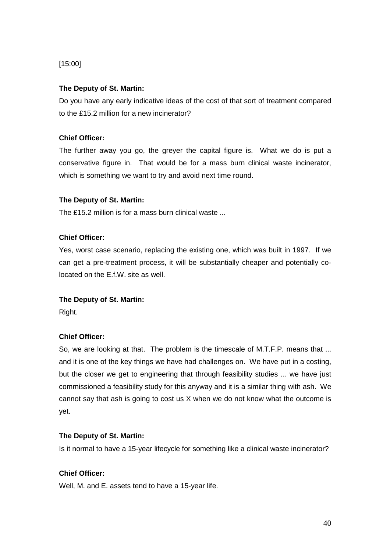# [15:00]

# **The Deputy of St. Martin:**

Do you have any early indicative ideas of the cost of that sort of treatment compared to the £15.2 million for a new incinerator?

## **Chief Officer:**

The further away you go, the greyer the capital figure is. What we do is put a conservative figure in. That would be for a mass burn clinical waste incinerator, which is something we want to try and avoid next time round.

# **The Deputy of St. Martin:**

The £15.2 million is for a mass burn clinical waste ...

# **Chief Officer:**

Yes, worst case scenario, replacing the existing one, which was built in 1997. If we can get a pre-treatment process, it will be substantially cheaper and potentially colocated on the E.f.W. site as well.

## **The Deputy of St. Martin:**

Right.

## **Chief Officer:**

So, we are looking at that. The problem is the timescale of M.T.F.P. means that ... and it is one of the key things we have had challenges on. We have put in a costing, but the closer we get to engineering that through feasibility studies ... we have just commissioned a feasibility study for this anyway and it is a similar thing with ash. We cannot say that ash is going to cost us X when we do not know what the outcome is yet.

## **The Deputy of St. Martin:**

Is it normal to have a 15-year lifecycle for something like a clinical waste incinerator?

## **Chief Officer:**

Well, M. and E. assets tend to have a 15-year life.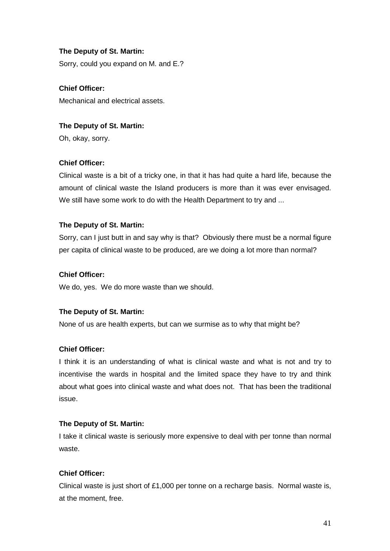# **The Deputy of St. Martin:**

Sorry, could you expand on M. and E.?

**Chief Officer:**  Mechanical and electrical assets.

# **The Deputy of St. Martin:**

Oh, okay, sorry.

# **Chief Officer:**

Clinical waste is a bit of a tricky one, in that it has had quite a hard life, because the amount of clinical waste the Island producers is more than it was ever envisaged. We still have some work to do with the Health Department to try and ...

# **The Deputy of St. Martin:**

Sorry, can I just butt in and say why is that? Obviously there must be a normal figure per capita of clinical waste to be produced, are we doing a lot more than normal?

# **Chief Officer:**

We do, yes. We do more waste than we should.

# **The Deputy of St. Martin:**

None of us are health experts, but can we surmise as to why that might be?

# **Chief Officer:**

I think it is an understanding of what is clinical waste and what is not and try to incentivise the wards in hospital and the limited space they have to try and think about what goes into clinical waste and what does not. That has been the traditional issue.

## **The Deputy of St. Martin:**

I take it clinical waste is seriously more expensive to deal with per tonne than normal waste.

# **Chief Officer:**

Clinical waste is just short of £1,000 per tonne on a recharge basis. Normal waste is, at the moment, free.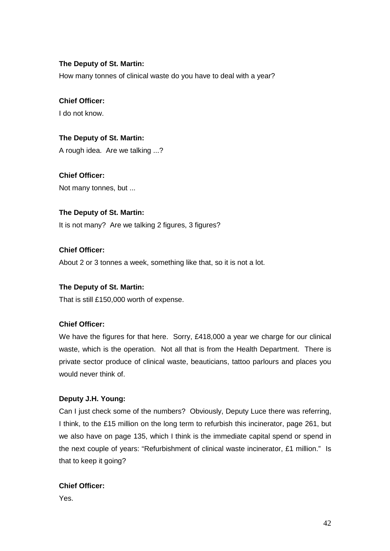# **The Deputy of St. Martin:**

How many tonnes of clinical waste do you have to deal with a year?

# **Chief Officer:**

I do not know.

# **The Deputy of St. Martin:**

A rough idea. Are we talking ...?

**Chief Officer:**  Not many tonnes, but ...

# **The Deputy of St. Martin:**

It is not many? Are we talking 2 figures, 3 figures?

# **Chief Officer:**

About 2 or 3 tonnes a week, something like that, so it is not a lot.

## **The Deputy of St. Martin:**

That is still £150,000 worth of expense.

# **Chief Officer:**

We have the figures for that here. Sorry, £418,000 a year we charge for our clinical waste, which is the operation. Not all that is from the Health Department. There is private sector produce of clinical waste, beauticians, tattoo parlours and places you would never think of.

## **Deputy J.H. Young:**

Can I just check some of the numbers? Obviously, Deputy Luce there was referring, I think, to the £15 million on the long term to refurbish this incinerator, page 261, but we also have on page 135, which I think is the immediate capital spend or spend in the next couple of years: "Refurbishment of clinical waste incinerator, £1 million." Is that to keep it going?

## **Chief Officer:**

Yes.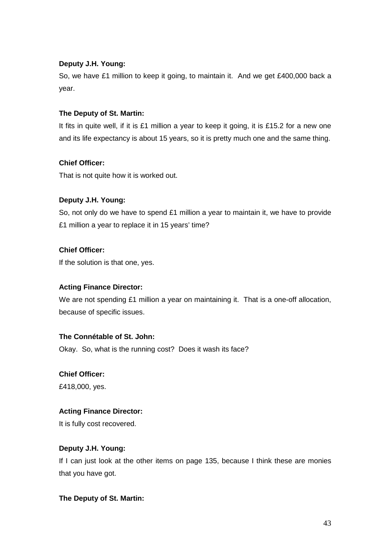# **Deputy J.H. Young:**

So, we have £1 million to keep it going, to maintain it. And we get £400,000 back a year.

# **The Deputy of St. Martin:**

It fits in quite well, if it is £1 million a year to keep it going, it is £15.2 for a new one and its life expectancy is about 15 years, so it is pretty much one and the same thing.

# **Chief Officer:**

That is not quite how it is worked out.

# **Deputy J.H. Young:**

So, not only do we have to spend £1 million a year to maintain it, we have to provide £1 million a year to replace it in 15 years' time?

# **Chief Officer:**

If the solution is that one, yes.

## **Acting Finance Director:**

We are not spending £1 million a year on maintaining it. That is a one-off allocation, because of specific issues.

# **The Connétable of St. John:**

Okay. So, what is the running cost? Does it wash its face?

## **Chief Officer:**

£418,000, yes.

# **Acting Finance Director:**

It is fully cost recovered.

# **Deputy J.H. Young:**

If I can just look at the other items on page 135, because I think these are monies that you have got.

## **The Deputy of St. Martin:**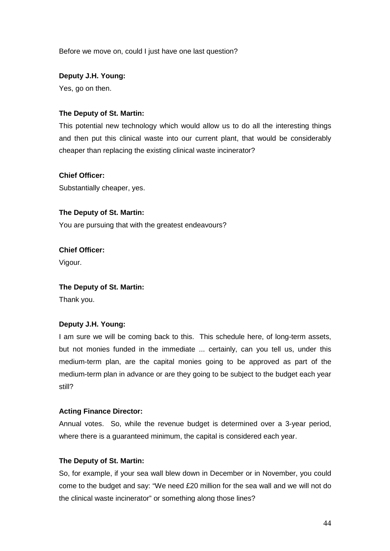Before we move on, could I just have one last question?

# **Deputy J.H. Young:**

Yes, go on then.

### **The Deputy of St. Martin:**

This potential new technology which would allow us to do all the interesting things and then put this clinical waste into our current plant, that would be considerably cheaper than replacing the existing clinical waste incinerator?

### **Chief Officer:**

Substantially cheaper, yes.

### **The Deputy of St. Martin:**

You are pursuing that with the greatest endeavours?

## **Chief Officer:**

Vigour.

#### **The Deputy of St. Martin:**

Thank you.

## **Deputy J.H. Young:**

I am sure we will be coming back to this. This schedule here, of long-term assets, but not monies funded in the immediate ... certainly, can you tell us, under this medium-term plan, are the capital monies going to be approved as part of the medium-term plan in advance or are they going to be subject to the budget each year still?

#### **Acting Finance Director:**

Annual votes. So, while the revenue budget is determined over a 3-year period, where there is a guaranteed minimum, the capital is considered each year.

#### **The Deputy of St. Martin:**

So, for example, if your sea wall blew down in December or in November, you could come to the budget and say: "We need £20 million for the sea wall and we will not do the clinical waste incinerator" or something along those lines?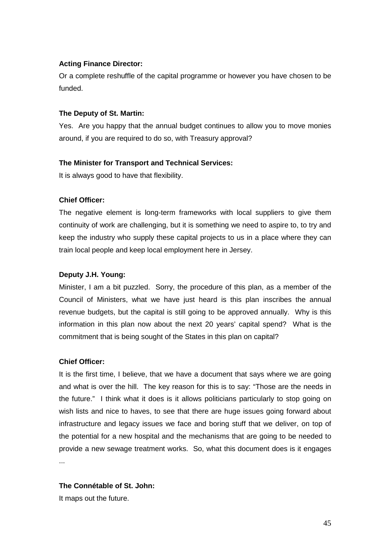# **Acting Finance Director:**

Or a complete reshuffle of the capital programme or however you have chosen to be funded.

## **The Deputy of St. Martin:**

Yes. Are you happy that the annual budget continues to allow you to move monies around, if you are required to do so, with Treasury approval?

# **The Minister for Transport and Technical Services:**

It is always good to have that flexibility.

# **Chief Officer:**

The negative element is long-term frameworks with local suppliers to give them continuity of work are challenging, but it is something we need to aspire to, to try and keep the industry who supply these capital projects to us in a place where they can train local people and keep local employment here in Jersey.

# **Deputy J.H. Young:**

Minister, I am a bit puzzled. Sorry, the procedure of this plan, as a member of the Council of Ministers, what we have just heard is this plan inscribes the annual revenue budgets, but the capital is still going to be approved annually. Why is this information in this plan now about the next 20 years' capital spend? What is the commitment that is being sought of the States in this plan on capital?

## **Chief Officer:**

It is the first time, I believe, that we have a document that says where we are going and what is over the hill. The key reason for this is to say: "Those are the needs in the future." I think what it does is it allows politicians particularly to stop going on wish lists and nice to haves, to see that there are huge issues going forward about infrastructure and legacy issues we face and boring stuff that we deliver, on top of the potential for a new hospital and the mechanisms that are going to be needed to provide a new sewage treatment works. So, what this document does is it engages ...

# **The Connétable of St. John:**

It maps out the future.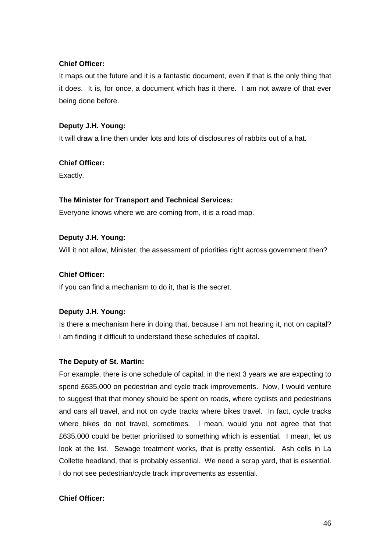# **Chief Officer:**

It maps out the future and it is a fantastic document, even if that is the only thing that it does. It is, for once, a document which has it there. I am not aware of that ever being done before.

# **Deputy J.H. Young:**

It will draw a line then under lots and lots of disclosures of rabbits out of a hat.

# **Chief Officer:**

Exactly.

# **The Minister for Transport and Technical Services:**

Everyone knows where we are coming from, it is a road map.

# **Deputy J.H. Young:**

Will it not allow, Minister, the assessment of priorities right across government then?

# **Chief Officer:**

If you can find a mechanism to do it, that is the secret.

# **Deputy J.H. Young:**

Is there a mechanism here in doing that, because I am not hearing it, not on capital? I am finding it difficult to understand these schedules of capital.

# **The Deputy of St. Martin:**

For example, there is one schedule of capital, in the next 3 years we are expecting to spend £635,000 on pedestrian and cycle track improvements. Now, I would venture to suggest that that money should be spent on roads, where cyclists and pedestrians and cars all travel, and not on cycle tracks where bikes travel. In fact, cycle tracks where bikes do not travel, sometimes. I mean, would you not agree that that £635,000 could be better prioritised to something which is essential. I mean, let us look at the list. Sewage treatment works, that is pretty essential. Ash cells in La Collette headland, that is probably essential. We need a scrap yard, that is essential. I do not see pedestrian/cycle track improvements as essential.

# **Chief Officer:**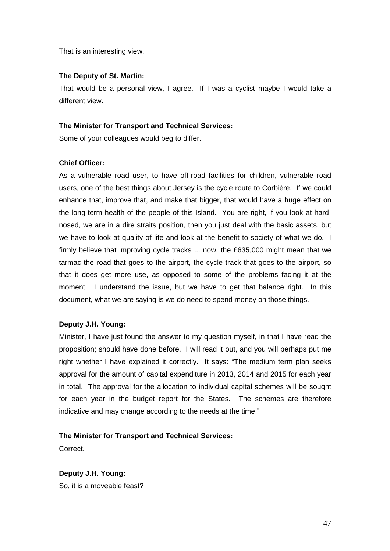That is an interesting view.

## **The Deputy of St. Martin:**

That would be a personal view, I agree. If I was a cyclist maybe I would take a different view.

### **The Minister for Transport and Technical Services:**

Some of your colleagues would beg to differ.

## **Chief Officer:**

As a vulnerable road user, to have off-road facilities for children, vulnerable road users, one of the best things about Jersey is the cycle route to Corbière. If we could enhance that, improve that, and make that bigger, that would have a huge effect on the long-term health of the people of this Island. You are right, if you look at hardnosed, we are in a dire straits position, then you just deal with the basic assets, but we have to look at quality of life and look at the benefit to society of what we do. I firmly believe that improving cycle tracks ... now, the £635,000 might mean that we tarmac the road that goes to the airport, the cycle track that goes to the airport, so that it does get more use, as opposed to some of the problems facing it at the moment. I understand the issue, but we have to get that balance right. In this document, what we are saying is we do need to spend money on those things.

## **Deputy J.H. Young:**

Minister, I have just found the answer to my question myself, in that I have read the proposition; should have done before. I will read it out, and you will perhaps put me right whether I have explained it correctly. It says: "The medium term plan seeks approval for the amount of capital expenditure in 2013, 2014 and 2015 for each year in total. The approval for the allocation to individual capital schemes will be sought for each year in the budget report for the States. The schemes are therefore indicative and may change according to the needs at the time."

## **The Minister for Transport and Technical Services:**

**Correct** 

**Deputy J.H. Young:** So, it is a moveable feast?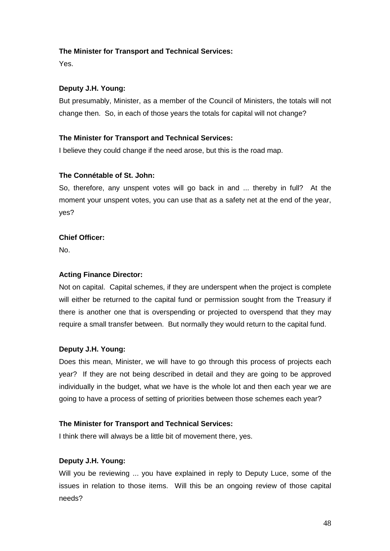# **The Minister for Transport and Technical Services:**

Yes.

# **Deputy J.H. Young:**

But presumably, Minister, as a member of the Council of Ministers, the totals will not change then. So, in each of those years the totals for capital will not change?

# **The Minister for Transport and Technical Services:**

I believe they could change if the need arose, but this is the road map.

# **The Connétable of St. John:**

So, therefore, any unspent votes will go back in and ... thereby in full? At the moment your unspent votes, you can use that as a safety net at the end of the year, yes?

# **Chief Officer:**

No.

# **Acting Finance Director:**

Not on capital. Capital schemes, if they are underspent when the project is complete will either be returned to the capital fund or permission sought from the Treasury if there is another one that is overspending or projected to overspend that they may require a small transfer between. But normally they would return to the capital fund.

## **Deputy J.H. Young:**

Does this mean, Minister, we will have to go through this process of projects each year? If they are not being described in detail and they are going to be approved individually in the budget, what we have is the whole lot and then each year we are going to have a process of setting of priorities between those schemes each year?

## **The Minister for Transport and Technical Services:**

I think there will always be a little bit of movement there, yes.

# **Deputy J.H. Young:**

Will you be reviewing ... you have explained in reply to Deputy Luce, some of the issues in relation to those items. Will this be an ongoing review of those capital needs?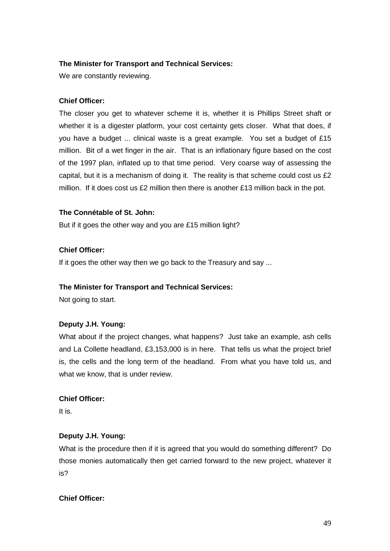# **The Minister for Transport and Technical Services:**

We are constantly reviewing.

## **Chief Officer:**

The closer you get to whatever scheme it is, whether it is Phillips Street shaft or whether it is a digester platform, your cost certainty gets closer. What that does, if you have a budget ... clinical waste is a great example. You set a budget of £15 million. Bit of a wet finger in the air. That is an inflationary figure based on the cost of the 1997 plan, inflated up to that time period. Very coarse way of assessing the capital, but it is a mechanism of doing it. The reality is that scheme could cost us £2 million. If it does cost us £2 million then there is another £13 million back in the pot.

### **The Connétable of St. John:**

But if it goes the other way and you are £15 million light?

### **Chief Officer:**

If it goes the other way then we go back to the Treasury and say ...

#### **The Minister for Transport and Technical Services:**

Not going to start.

## **Deputy J.H. Young:**

What about if the project changes, what happens? Just take an example, ash cells and La Collette headland, £3,153,000 is in here. That tells us what the project brief is, the cells and the long term of the headland. From what you have told us, and what we know, that is under review.

#### **Chief Officer:**

It is.

### **Deputy J.H. Young:**

What is the procedure then if it is agreed that you would do something different? Do those monies automatically then get carried forward to the new project, whatever it is?

### **Chief Officer:**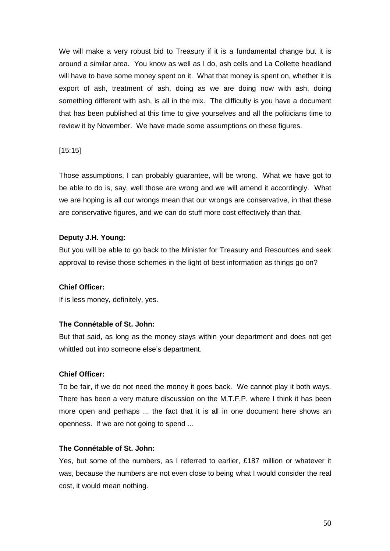We will make a very robust bid to Treasury if it is a fundamental change but it is around a similar area. You know as well as I do, ash cells and La Collette headland will have to have some money spent on it. What that money is spent on, whether it is export of ash, treatment of ash, doing as we are doing now with ash, doing something different with ash, is all in the mix. The difficulty is you have a document that has been published at this time to give yourselves and all the politicians time to review it by November. We have made some assumptions on these figures.

### [15:15]

Those assumptions, I can probably guarantee, will be wrong. What we have got to be able to do is, say, well those are wrong and we will amend it accordingly. What we are hoping is all our wrongs mean that our wrongs are conservative, in that these are conservative figures, and we can do stuff more cost effectively than that.

## **Deputy J.H. Young:**

But you will be able to go back to the Minister for Treasury and Resources and seek approval to revise those schemes in the light of best information as things go on?

#### **Chief Officer:**

If is less money, definitely, yes.

#### **The Connétable of St. John:**

But that said, as long as the money stays within your department and does not get whittled out into someone else's department.

#### **Chief Officer:**

To be fair, if we do not need the money it goes back. We cannot play it both ways. There has been a very mature discussion on the M.T.F.P. where I think it has been more open and perhaps ... the fact that it is all in one document here shows an openness. If we are not going to spend ...

#### **The Connétable of St. John:**

Yes, but some of the numbers, as I referred to earlier, £187 million or whatever it was, because the numbers are not even close to being what I would consider the real cost, it would mean nothing.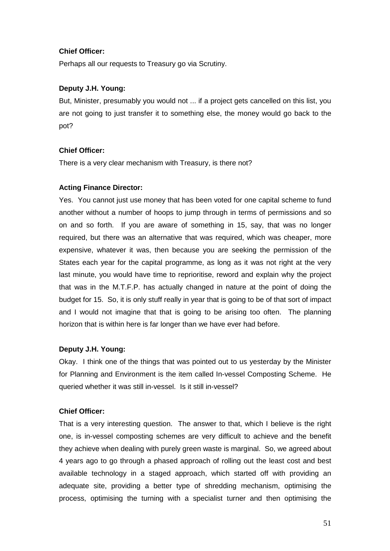## **Chief Officer:**

Perhaps all our requests to Treasury go via Scrutiny.

# **Deputy J.H. Young:**

But, Minister, presumably you would not ... if a project gets cancelled on this list, you are not going to just transfer it to something else, the money would go back to the pot?

# **Chief Officer:**

There is a very clear mechanism with Treasury, is there not?

# **Acting Finance Director:**

Yes. You cannot just use money that has been voted for one capital scheme to fund another without a number of hoops to jump through in terms of permissions and so on and so forth. If you are aware of something in 15, say, that was no longer required, but there was an alternative that was required, which was cheaper, more expensive, whatever it was, then because you are seeking the permission of the States each year for the capital programme, as long as it was not right at the very last minute, you would have time to reprioritise, reword and explain why the project that was in the M.T.F.P. has actually changed in nature at the point of doing the budget for 15. So, it is only stuff really in year that is going to be of that sort of impact and I would not imagine that that is going to be arising too often. The planning horizon that is within here is far longer than we have ever had before.

# **Deputy J.H. Young:**

Okay. I think one of the things that was pointed out to us yesterday by the Minister for Planning and Environment is the item called In-vessel Composting Scheme. He queried whether it was still in-vessel. Is it still in-vessel?

## **Chief Officer:**

That is a very interesting question. The answer to that, which I believe is the right one, is in-vessel composting schemes are very difficult to achieve and the benefit they achieve when dealing with purely green waste is marginal. So, we agreed about 4 years ago to go through a phased approach of rolling out the least cost and best available technology in a staged approach, which started off with providing an adequate site, providing a better type of shredding mechanism, optimising the process, optimising the turning with a specialist turner and then optimising the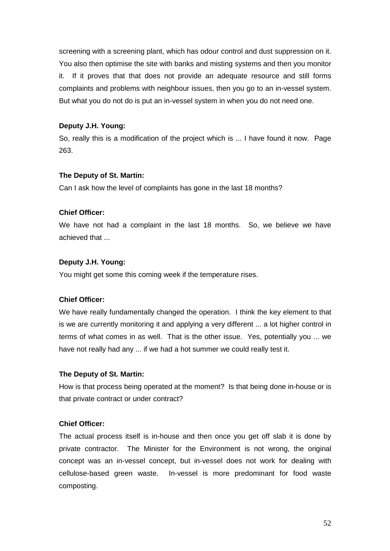screening with a screening plant, which has odour control and dust suppression on it. You also then optimise the site with banks and misting systems and then you monitor it. If it proves that that does not provide an adequate resource and still forms complaints and problems with neighbour issues, then you go to an in-vessel system. But what you do not do is put an in-vessel system in when you do not need one.

# **Deputy J.H. Young:**

So, really this is a modification of the project which is ... I have found it now. Page 263.

## **The Deputy of St. Martin:**

Can I ask how the level of complaints has gone in the last 18 months?

# **Chief Officer:**

We have not had a complaint in the last 18 months. So, we believe we have achieved that

# **Deputy J.H. Young:**

You might get some this coming week if the temperature rises.

# **Chief Officer:**

We have really fundamentally changed the operation. I think the key element to that is we are currently monitoring it and applying a very different ... a lot higher control in terms of what comes in as well. That is the other issue. Yes, potentially you ... we have not really had any ... if we had a hot summer we could really test it.

## **The Deputy of St. Martin:**

How is that process being operated at the moment? Is that being done in-house or is that private contract or under contract?

# **Chief Officer:**

The actual process itself is in-house and then once you get off slab it is done by private contractor. The Minister for the Environment is not wrong, the original concept was an in-vessel concept, but in-vessel does not work for dealing with cellulose-based green waste. In-vessel is more predominant for food waste composting.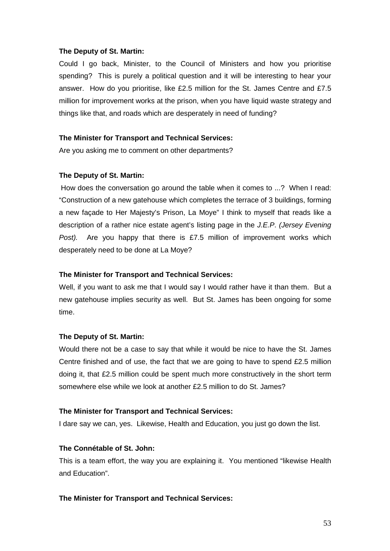#### **The Deputy of St. Martin:**

Could I go back, Minister, to the Council of Ministers and how you prioritise spending? This is purely a political question and it will be interesting to hear your answer. How do you prioritise, like £2.5 million for the St. James Centre and £7.5 million for improvement works at the prison, when you have liquid waste strategy and things like that, and roads which are desperately in need of funding?

#### **The Minister for Transport and Technical Services:**

Are you asking me to comment on other departments?

### **The Deputy of St. Martin:**

 How does the conversation go around the table when it comes to ...? When I read: "Construction of a new gatehouse which completes the terrace of 3 buildings, forming a new façade to Her Majesty's Prison, La Moye" I think to myself that reads like a description of a rather nice estate agent's listing page in the J.E.P. (Jersey Evening Post). Are you happy that there is £7.5 million of improvement works which desperately need to be done at La Moye?

### **The Minister for Transport and Technical Services:**

Well, if you want to ask me that I would say I would rather have it than them. But a new gatehouse implies security as well. But St. James has been ongoing for some time.

#### **The Deputy of St. Martin:**

Would there not be a case to say that while it would be nice to have the St. James Centre finished and of use, the fact that we are going to have to spend  $E2.5$  million doing it, that £2.5 million could be spent much more constructively in the short term somewhere else while we look at another £2.5 million to do St. James?

#### **The Minister for Transport and Technical Services:**

I dare say we can, yes. Likewise, Health and Education, you just go down the list.

## **The Connétable of St. John:**

This is a team effort, the way you are explaining it. You mentioned "likewise Health and Education".

## **The Minister for Transport and Technical Services:**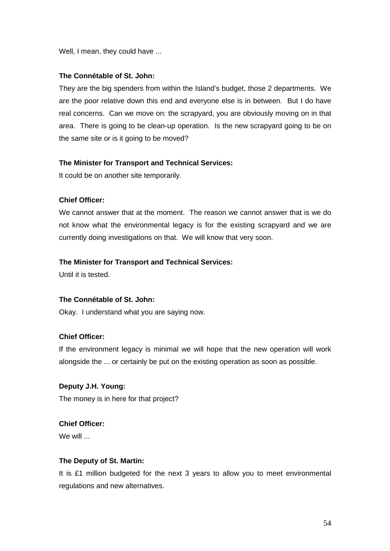Well, I mean, they could have ...

## **The Connétable of St. John:**

They are the big spenders from within the Island's budget, those 2 departments. We are the poor relative down this end and everyone else is in between. But I do have real concerns. Can we move on: the scrapyard, you are obviously moving on in that area. There is going to be clean-up operation. Is the new scrapyard going to be on the same site or is it going to be moved?

### **The Minister for Transport and Technical Services:**

It could be on another site temporarily.

### **Chief Officer:**

We cannot answer that at the moment. The reason we cannot answer that is we do not know what the environmental legacy is for the existing scrapyard and we are currently doing investigations on that. We will know that very soon.

### **The Minister for Transport and Technical Services:**

Until it is tested.

### **The Connétable of St. John:**

Okay. I understand what you are saying now.

# **Chief Officer:**

If the environment legacy is minimal we will hope that the new operation will work alongside the ... or certainly be put on the existing operation as soon as possible.

# **Deputy J.H. Young:** The money is in here for that project?

# **Chief Officer:**

 $W \in \mathcal{W}$ ill

## **The Deputy of St. Martin:**

It is £1 million budgeted for the next 3 years to allow you to meet environmental regulations and new alternatives.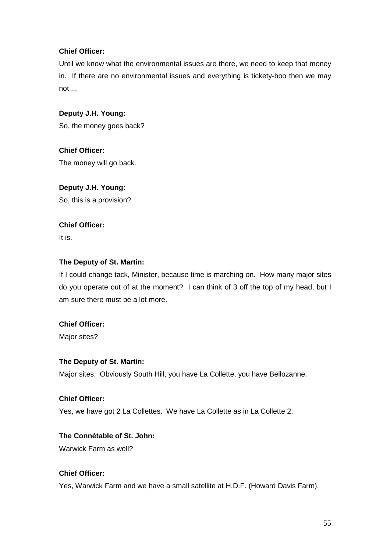# **Chief Officer:**

Until we know what the environmental issues are there, we need to keep that money in. If there are no environmental issues and everything is tickety-boo then we may not ...

# **Deputy J.H. Young:**

So, the money goes back?

**Chief Officer:**  The money will go back.

# **Deputy J.H. Young:**

So, this is a provision?

# **Chief Officer:**

It is.

# **The Deputy of St. Martin:**

If I could change tack, Minister, because time is marching on. How many major sites do you operate out of at the moment? I can think of 3 off the top of my head, but I am sure there must be a lot more.

# **Chief Officer:**

Major sites?

## **The Deputy of St. Martin:**

Major sites. Obviously South Hill, you have La Collette, you have Bellozanne.

## **Chief Officer:**

Yes, we have got 2 La Collettes. We have La Collette as in La Collette 2.

# **The Connétable of St. John:**

Warwick Farm as well?

# **Chief Officer:**

Yes, Warwick Farm and we have a small satellite at H.D.F. (Howard Davis Farm).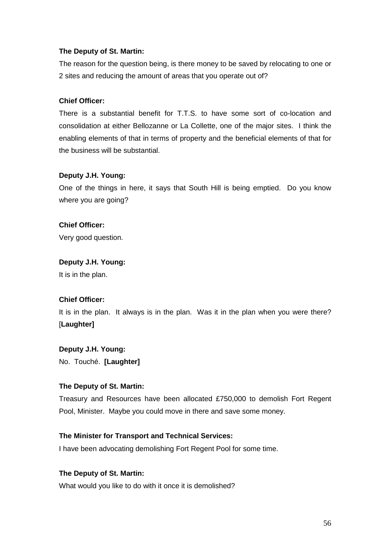# **The Deputy of St. Martin:**

The reason for the question being, is there money to be saved by relocating to one or 2 sites and reducing the amount of areas that you operate out of?

# **Chief Officer:**

There is a substantial benefit for T.T.S. to have some sort of co-location and consolidation at either Bellozanne or La Collette, one of the major sites. I think the enabling elements of that in terms of property and the beneficial elements of that for the business will be substantial.

# **Deputy J.H. Young:**

One of the things in here, it says that South Hill is being emptied. Do you know where you are going?

**Chief Officer:**  Very good question.

# **Deputy J.H. Young:**

It is in the plan.

# **Chief Officer:**

It is in the plan. It always is in the plan. Was it in the plan when you were there? [**Laughter]** 

# **Deputy J.H. Young:**

No. Touché. **[Laughter]**

# **The Deputy of St. Martin:**

Treasury and Resources have been allocated £750,000 to demolish Fort Regent Pool, Minister. Maybe you could move in there and save some money.

## **The Minister for Transport and Technical Services:**

I have been advocating demolishing Fort Regent Pool for some time.

## **The Deputy of St. Martin:**

What would you like to do with it once it is demolished?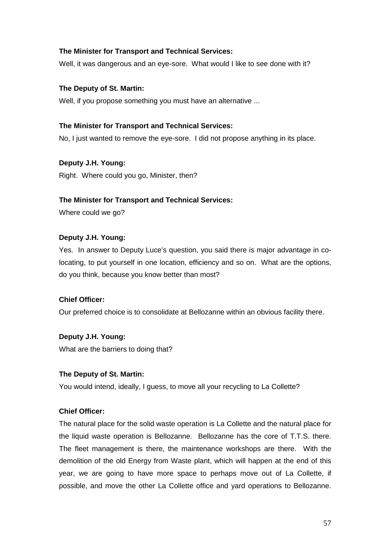## **The Minister for Transport and Technical Services:**

Well, it was dangerous and an eye-sore. What would I like to see done with it?

#### **The Deputy of St. Martin:**

Well, if you propose something you must have an alternative ...

### **The Minister for Transport and Technical Services:**

No, I just wanted to remove the eye-sore. I did not propose anything in its place.

**Deputy J.H. Young:** 

Right. Where could you go, Minister, then?

#### **The Minister for Transport and Technical Services:**

Where could we go?

### **Deputy J.H. Young:**

Yes. In answer to Deputy Luce's question, you said there is major advantage in colocating, to put yourself in one location, efficiency and so on. What are the options, do you think, because you know better than most?

## **Chief Officer:**

Our preferred choice is to consolidate at Bellozanne within an obvious facility there.

# **Deputy J.H. Young:**

What are the barriers to doing that?

#### **The Deputy of St. Martin:**

You would intend, ideally, I guess, to move all your recycling to La Collette?

#### **Chief Officer:**

The natural place for the solid waste operation is La Collette and the natural place for the liquid waste operation is Bellozanne. Bellozanne has the core of T.T.S. there. The fleet management is there, the maintenance workshops are there. With the demolition of the old Energy from Waste plant, which will happen at the end of this year, we are going to have more space to perhaps move out of La Collette, if possible, and move the other La Collette office and yard operations to Bellozanne.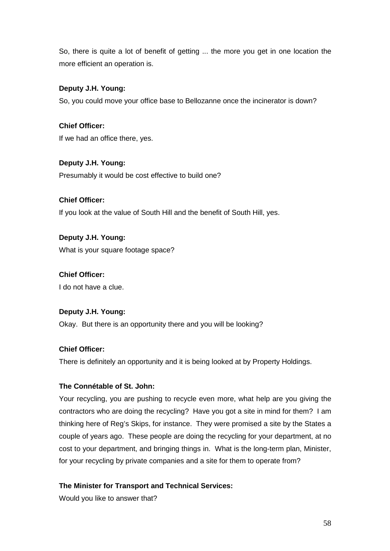So, there is quite a lot of benefit of getting ... the more you get in one location the more efficient an operation is.

# **Deputy J.H. Young:**

So, you could move your office base to Bellozanne once the incinerator is down?

### **Chief Officer:**

If we had an office there, yes.

# **Deputy J.H. Young:**

Presumably it would be cost effective to build one?

# **Chief Officer:**

If you look at the value of South Hill and the benefit of South Hill, yes.

# **Deputy J.H. Young:** What is your square footage space?

# **Chief Officer:**

I do not have a clue.

## **Deputy J.H. Young:**

Okay. But there is an opportunity there and you will be looking?

## **Chief Officer:**

There is definitely an opportunity and it is being looked at by Property Holdings.

# **The Connétable of St. John:**

Your recycling, you are pushing to recycle even more, what help are you giving the contractors who are doing the recycling? Have you got a site in mind for them? I am thinking here of Reg's Skips, for instance. They were promised a site by the States a couple of years ago. These people are doing the recycling for your department, at no cost to your department, and bringing things in. What is the long-term plan, Minister, for your recycling by private companies and a site for them to operate from?

## **The Minister for Transport and Technical Services:**

Would you like to answer that?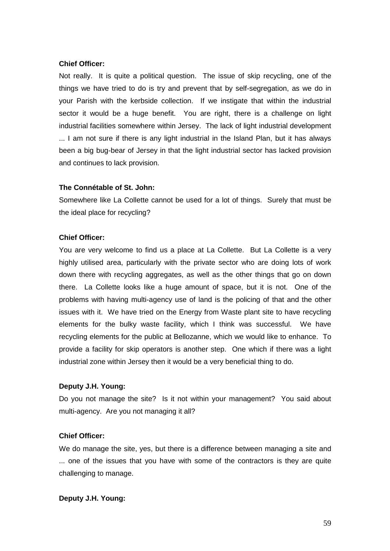### **Chief Officer:**

Not really. It is quite a political question. The issue of skip recycling, one of the things we have tried to do is try and prevent that by self-segregation, as we do in your Parish with the kerbside collection. If we instigate that within the industrial sector it would be a huge benefit. You are right, there is a challenge on light industrial facilities somewhere within Jersey. The lack of light industrial development ... I am not sure if there is any light industrial in the Island Plan, but it has always been a big bug-bear of Jersey in that the light industrial sector has lacked provision and continues to lack provision.

### **The Connétable of St. John:**

Somewhere like La Collette cannot be used for a lot of things. Surely that must be the ideal place for recycling?

### **Chief Officer:**

You are very welcome to find us a place at La Collette. But La Collette is a very highly utilised area, particularly with the private sector who are doing lots of work down there with recycling aggregates, as well as the other things that go on down there. La Collette looks like a huge amount of space, but it is not. One of the problems with having multi-agency use of land is the policing of that and the other issues with it. We have tried on the Energy from Waste plant site to have recycling elements for the bulky waste facility, which I think was successful. We have recycling elements for the public at Bellozanne, which we would like to enhance. To provide a facility for skip operators is another step. One which if there was a light industrial zone within Jersey then it would be a very beneficial thing to do.

## **Deputy J.H. Young:**

Do you not manage the site? Is it not within your management? You said about multi-agency. Are you not managing it all?

## **Chief Officer:**

We do manage the site, yes, but there is a difference between managing a site and ... one of the issues that you have with some of the contractors is they are quite challenging to manage.

#### **Deputy J.H. Young:**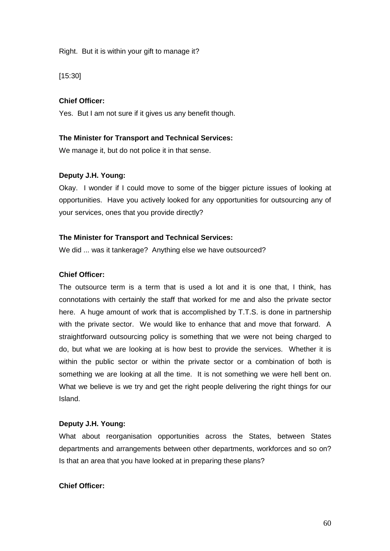#### Right. But it is within your gift to manage it?

[15:30]

#### **Chief Officer:**

Yes. But I am not sure if it gives us any benefit though.

## **The Minister for Transport and Technical Services:**

We manage it, but do not police it in that sense.

### **Deputy J.H. Young:**

Okay. I wonder if I could move to some of the bigger picture issues of looking at opportunities. Have you actively looked for any opportunities for outsourcing any of your services, ones that you provide directly?

#### **The Minister for Transport and Technical Services:**

We did ... was it tankerage? Anything else we have outsourced?

#### **Chief Officer:**

The outsource term is a term that is used a lot and it is one that, I think, has connotations with certainly the staff that worked for me and also the private sector here. A huge amount of work that is accomplished by T.T.S. is done in partnership with the private sector. We would like to enhance that and move that forward. A straightforward outsourcing policy is something that we were not being charged to do, but what we are looking at is how best to provide the services. Whether it is within the public sector or within the private sector or a combination of both is something we are looking at all the time. It is not something we were hell bent on. What we believe is we try and get the right people delivering the right things for our Island.

#### **Deputy J.H. Young:**

What about reorganisation opportunities across the States, between States departments and arrangements between other departments, workforces and so on? Is that an area that you have looked at in preparing these plans?

### **Chief Officer:**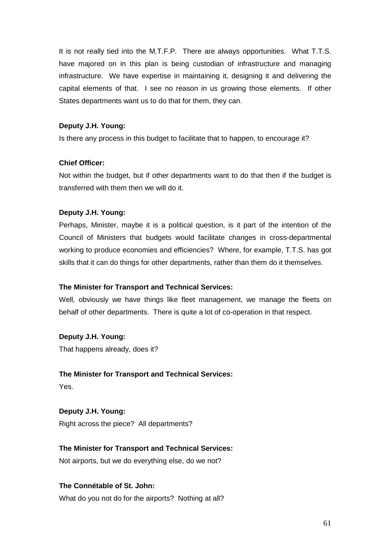It is not really tied into the M.T.F.P. There are always opportunities. What T.T.S. have majored on in this plan is being custodian of infrastructure and managing infrastructure. We have expertise in maintaining it, designing it and delivering the capital elements of that. I see no reason in us growing those elements. If other States departments want us to do that for them, they can.

### **Deputy J.H. Young:**

Is there any process in this budget to facilitate that to happen, to encourage it?

## **Chief Officer:**

Not within the budget, but if other departments want to do that then if the budget is transferred with them then we will do it.

## **Deputy J.H. Young:**

Perhaps, Minister, maybe it is a political question, is it part of the intention of the Council of Ministers that budgets would facilitate changes in cross-departmental working to produce economies and efficiencies? Where, for example, T.T.S. has got skills that it can do things for other departments, rather than them do it themselves.

#### **The Minister for Transport and Technical Services:**

Well, obviously we have things like fleet management, we manage the fleets on behalf of other departments. There is quite a lot of co-operation in that respect.

## **Deputy J.H. Young:**

That happens already, does it?

## **The Minister for Transport and Technical Services:**

Yes.

# **Deputy J.H. Young:**

Right across the piece? All departments?

## **The Minister for Transport and Technical Services:**

Not airports, but we do everything else, do we not?

# **The Connétable of St. John:**

What do you not do for the airports? Nothing at all?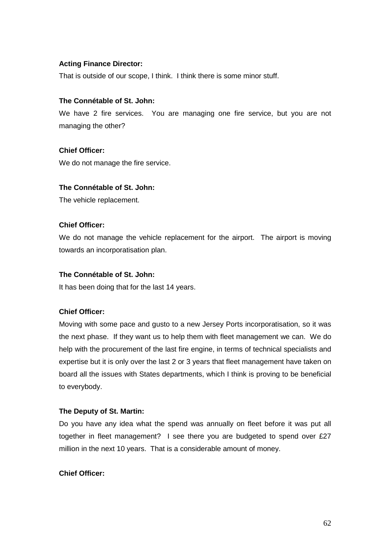# **Acting Finance Director:**

That is outside of our scope, I think. I think there is some minor stuff.

## **The Connétable of St. John:**

We have 2 fire services. You are managing one fire service, but you are not managing the other?

## **Chief Officer:**

We do not manage the fire service.

# **The Connétable of St. John:**

The vehicle replacement.

# **Chief Officer:**

We do not manage the vehicle replacement for the airport. The airport is moving towards an incorporatisation plan.

# **The Connétable of St. John:**

It has been doing that for the last 14 years.

# **Chief Officer:**

Moving with some pace and gusto to a new Jersey Ports incorporatisation, so it was the next phase. If they want us to help them with fleet management we can. We do help with the procurement of the last fire engine, in terms of technical specialists and expertise but it is only over the last 2 or 3 years that fleet management have taken on board all the issues with States departments, which I think is proving to be beneficial to everybody.

## **The Deputy of St. Martin:**

Do you have any idea what the spend was annually on fleet before it was put all together in fleet management? I see there you are budgeted to spend over £27 million in the next 10 years. That is a considerable amount of money.

# **Chief Officer:**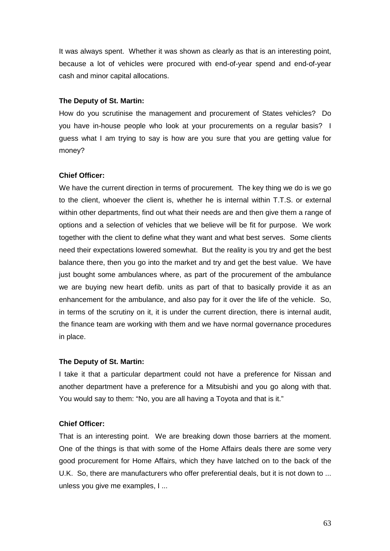It was always spent. Whether it was shown as clearly as that is an interesting point, because a lot of vehicles were procured with end-of-year spend and end-of-year cash and minor capital allocations.

#### **The Deputy of St. Martin:**

How do you scrutinise the management and procurement of States vehicles? Do you have in-house people who look at your procurements on a regular basis? I guess what I am trying to say is how are you sure that you are getting value for money?

### **Chief Officer:**

We have the current direction in terms of procurement. The key thing we do is we go to the client, whoever the client is, whether he is internal within T.T.S. or external within other departments, find out what their needs are and then give them a range of options and a selection of vehicles that we believe will be fit for purpose. We work together with the client to define what they want and what best serves. Some clients need their expectations lowered somewhat. But the reality is you try and get the best balance there, then you go into the market and try and get the best value. We have just bought some ambulances where, as part of the procurement of the ambulance we are buying new heart defib. units as part of that to basically provide it as an enhancement for the ambulance, and also pay for it over the life of the vehicle. So, in terms of the scrutiny on it, it is under the current direction, there is internal audit, the finance team are working with them and we have normal governance procedures in place.

#### **The Deputy of St. Martin:**

I take it that a particular department could not have a preference for Nissan and another department have a preference for a Mitsubishi and you go along with that. You would say to them: "No, you are all having a Toyota and that is it."

#### **Chief Officer:**

That is an interesting point. We are breaking down those barriers at the moment. One of the things is that with some of the Home Affairs deals there are some very good procurement for Home Affairs, which they have latched on to the back of the U.K. So, there are manufacturers who offer preferential deals, but it is not down to ... unless you give me examples, I ...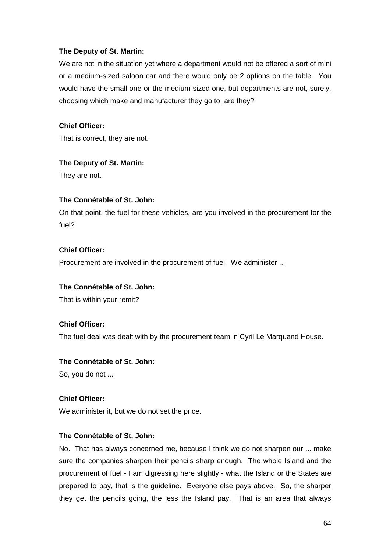## **The Deputy of St. Martin:**

We are not in the situation yet where a department would not be offered a sort of mini or a medium-sized saloon car and there would only be 2 options on the table. You would have the small one or the medium-sized one, but departments are not, surely, choosing which make and manufacturer they go to, are they?

#### **Chief Officer:**

That is correct, they are not.

### **The Deputy of St. Martin:**

They are not.

### **The Connétable of St. John:**

On that point, the fuel for these vehicles, are you involved in the procurement for the fuel?

### **Chief Officer:**

Procurement are involved in the procurement of fuel. We administer ...

#### **The Connétable of St. John:**

That is within your remit?

#### **Chief Officer:**

The fuel deal was dealt with by the procurement team in Cyril Le Marquand House.

### **The Connétable of St. John:**

So, you do not ...

### **Chief Officer:**

We administer it, but we do not set the price.

### **The Connétable of St. John:**

No. That has always concerned me, because I think we do not sharpen our ... make sure the companies sharpen their pencils sharp enough. The whole Island and the procurement of fuel - I am digressing here slightly - what the Island or the States are prepared to pay, that is the guideline. Everyone else pays above. So, the sharper they get the pencils going, the less the Island pay. That is an area that always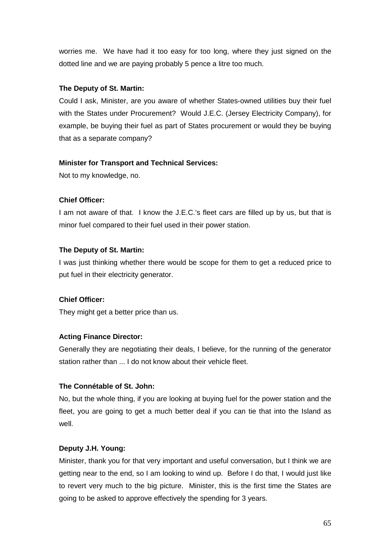worries me. We have had it too easy for too long, where they just signed on the dotted line and we are paying probably 5 pence a litre too much.

# **The Deputy of St. Martin:**

Could I ask, Minister, are you aware of whether States-owned utilities buy their fuel with the States under Procurement? Would J.E.C. (Jersey Electricity Company), for example, be buying their fuel as part of States procurement or would they be buying that as a separate company?

## **Minister for Transport and Technical Services:**

Not to my knowledge, no.

# **Chief Officer:**

I am not aware of that. I know the J.E.C.'s fleet cars are filled up by us, but that is minor fuel compared to their fuel used in their power station.

# **The Deputy of St. Martin:**

I was just thinking whether there would be scope for them to get a reduced price to put fuel in their electricity generator.

# **Chief Officer:**

They might get a better price than us.

# **Acting Finance Director:**

Generally they are negotiating their deals, I believe, for the running of the generator station rather than ... I do not know about their vehicle fleet.

# **The Connétable of St. John:**

No, but the whole thing, if you are looking at buying fuel for the power station and the fleet, you are going to get a much better deal if you can tie that into the Island as well.

# **Deputy J.H. Young:**

Minister, thank you for that very important and useful conversation, but I think we are getting near to the end, so I am looking to wind up. Before I do that, I would just like to revert very much to the big picture. Minister, this is the first time the States are going to be asked to approve effectively the spending for 3 years.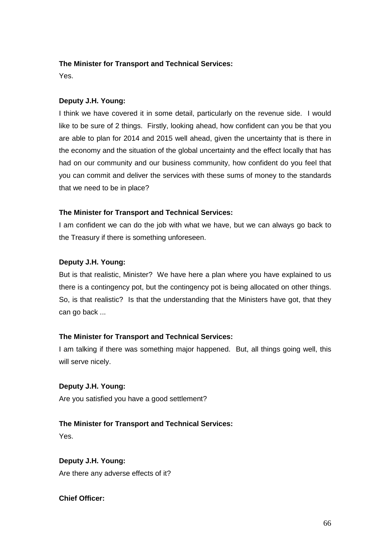# **The Minister for Transport and Technical Services:**

Yes.

# **Deputy J.H. Young:**

I think we have covered it in some detail, particularly on the revenue side. I would like to be sure of 2 things. Firstly, looking ahead, how confident can you be that you are able to plan for 2014 and 2015 well ahead, given the uncertainty that is there in the economy and the situation of the global uncertainty and the effect locally that has had on our community and our business community, how confident do you feel that you can commit and deliver the services with these sums of money to the standards that we need to be in place?

# **The Minister for Transport and Technical Services:**

I am confident we can do the job with what we have, but we can always go back to the Treasury if there is something unforeseen.

# **Deputy J.H. Young:**

But is that realistic, Minister? We have here a plan where you have explained to us there is a contingency pot, but the contingency pot is being allocated on other things. So, is that realistic? Is that the understanding that the Ministers have got, that they can go back ...

# **The Minister for Transport and Technical Services:**

I am talking if there was something major happened. But, all things going well, this will serve nicely.

# **Deputy J.H. Young:**

Are you satisfied you have a good settlement?

# **The Minister for Transport and Technical Services:**

Yes.

# **Deputy J.H. Young:**

Are there any adverse effects of it?

# **Chief Officer:**